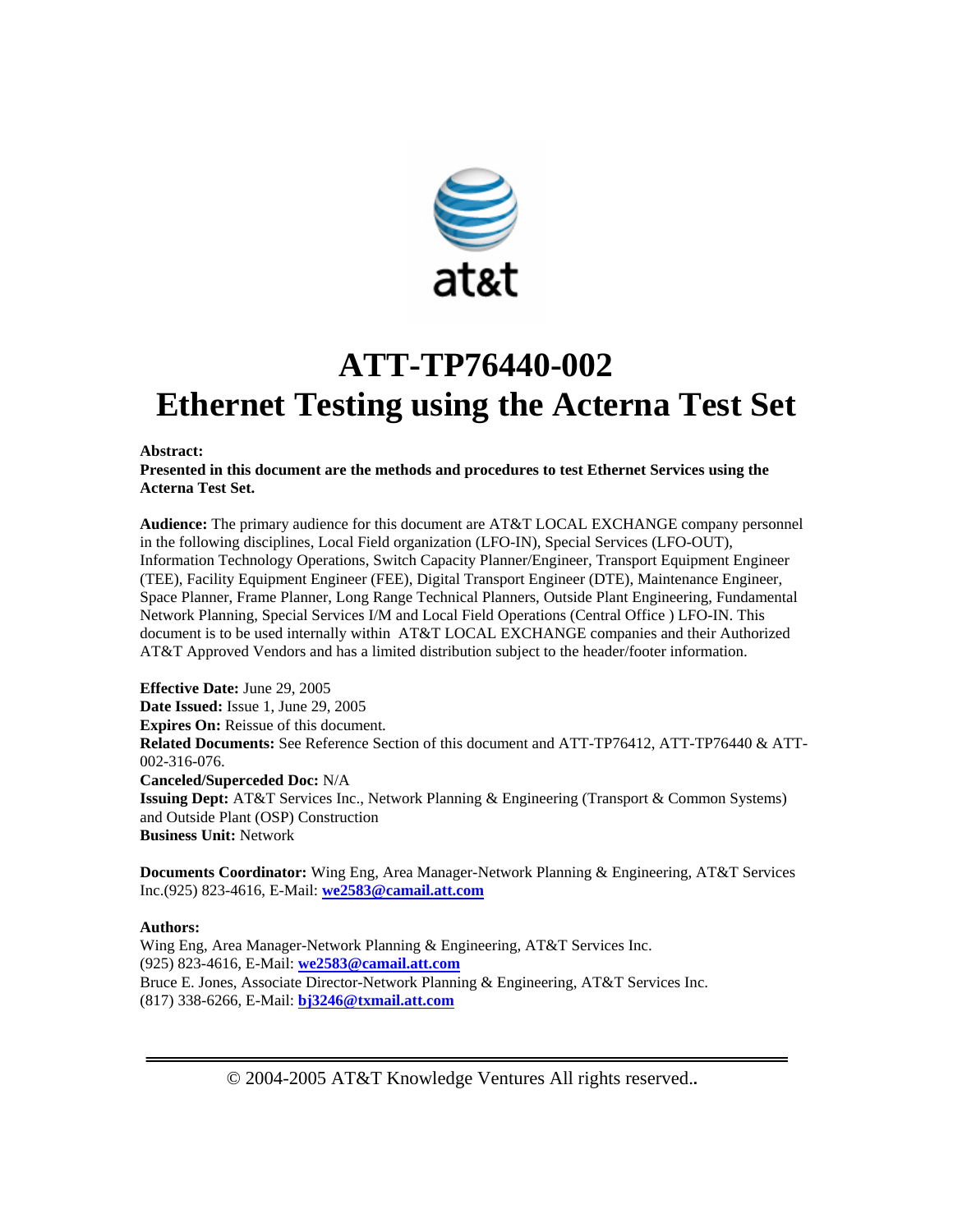

# **ATT-TP76440-002 Ethernet Testing using the Acterna Test Set**

#### **Abstract:**

**Presented in this document are the methods and procedures to test Ethernet Services using the Acterna Test Set.** 

**Audience:** The primary audience for this document are AT&T LOCAL EXCHANGE company personnel in the following disciplines, Local Field organization (LFO-IN), Special Services (LFO-OUT), Information Technology Operations, Switch Capacity Planner/Engineer, Transport Equipment Engineer (TEE), Facility Equipment Engineer (FEE), Digital Transport Engineer (DTE), Maintenance Engineer, Space Planner, Frame Planner, Long Range Technical Planners, Outside Plant Engineering, Fundamental Network Planning, Special Services I/M and Local Field Operations (Central Office ) LFO-IN. This document is to be used internally within AT&T LOCAL EXCHANGE companies and their Authorized AT&T Approved Vendors and has a limited distribution subject to the header/footer information.

**Effective Date:** June 29, 2005 **Date Issued:** Issue 1, June 29, 2005 **Expires On:** Reissue of this document. **Related Documents:** See Reference Section of this document and ATT-TP76412, ATT-TP76440 & ATT-002-316-076. **Canceled/Superceded Doc:** N/A **Issuing Dept:** AT&T Services Inc., Network Planning & Engineering (Transport & Common Systems) and Outside Plant (OSP) Construction **Business Unit:** Network

**Documents Coordinator:** Wing Eng, Area Manager-Network Planning & Engineering, AT&T Services Inc.(925) 823-4616, E-Mail: **we2583@camail.att.com**

#### **Authors:**

Wing Eng, Area Manager-Network Planning & Engineering, AT&T Services Inc. (925) 823-4616, E-Mail: **we2583@camail.att.com** Bruce E. Jones, Associate Director-Network Planning & Engineering, AT&T Services Inc. (817) 338-6266, E-Mail: **bj3246@txmail.att.com**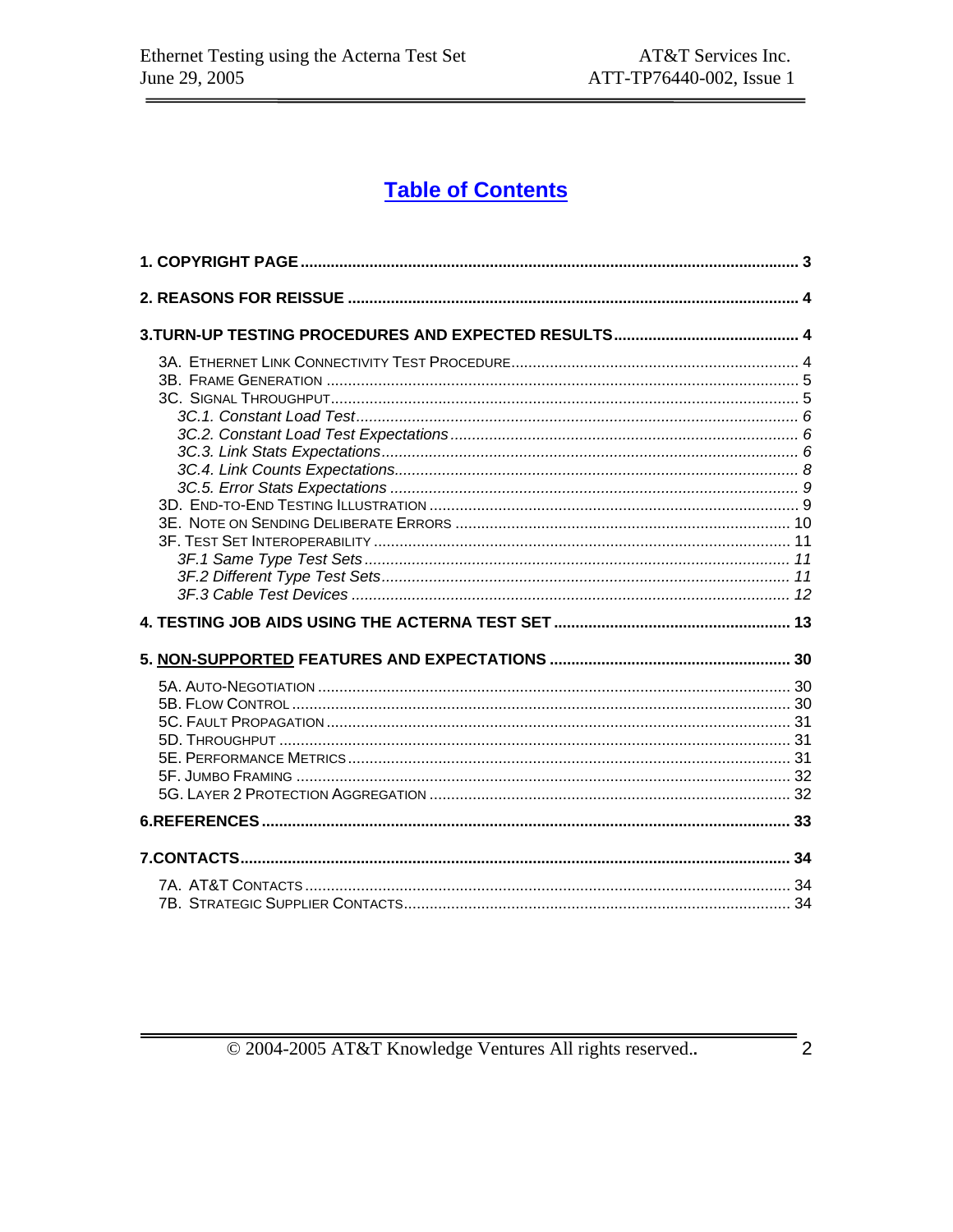## **Table of Contents**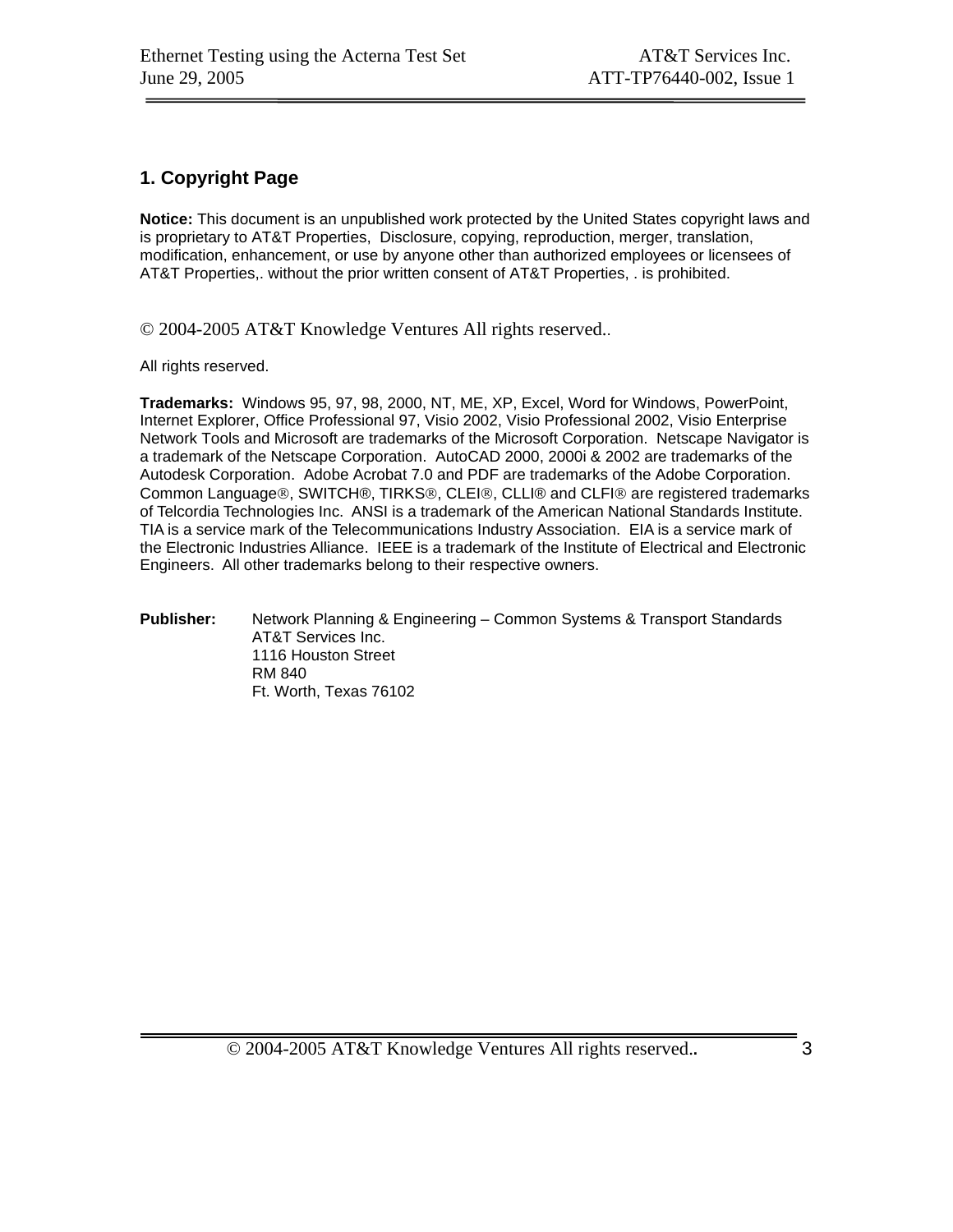## **1. Copyright Page**

**Notice:** This document is an unpublished work protected by the United States copyright laws and is proprietary to AT&T Properties, Disclosure, copying, reproduction, merger, translation, modification, enhancement, or use by anyone other than authorized employees or licensees of AT&T Properties,. without the prior written consent of AT&T Properties, . is prohibited.

© 2004-2005 AT&T Knowledge Ventures All rights reserved..

All rights reserved.

**Trademarks:** Windows 95, 97, 98, 2000, NT, ME, XP, Excel, Word for Windows, PowerPoint, Internet Explorer, Office Professional 97, Visio 2002, Visio Professional 2002, Visio Enterprise Network Tools and Microsoft are trademarks of the Microsoft Corporation. Netscape Navigator is a trademark of the Netscape Corporation. AutoCAD 2000, 2000i & 2002 are trademarks of the Autodesk Corporation. Adobe Acrobat 7.0 and PDF are trademarks of the Adobe Corporation. Common Language®, SWITCH®, TIRKS®, CLEI®, CLLI® and CLFI® are registered trademarks of Telcordia Technologies Inc. ANSI is a trademark of the American National Standards Institute. TIA is a service mark of the Telecommunications Industry Association. EIA is a service mark of the Electronic Industries Alliance. IEEE is a trademark of the Institute of Electrical and Electronic Engineers. All other trademarks belong to their respective owners.

#### **Publisher:** Network Planning & Engineering – Common Systems & Transport Standards AT&T Services Inc. 1116 Houston Street RM 840 Ft. Worth, Texas 76102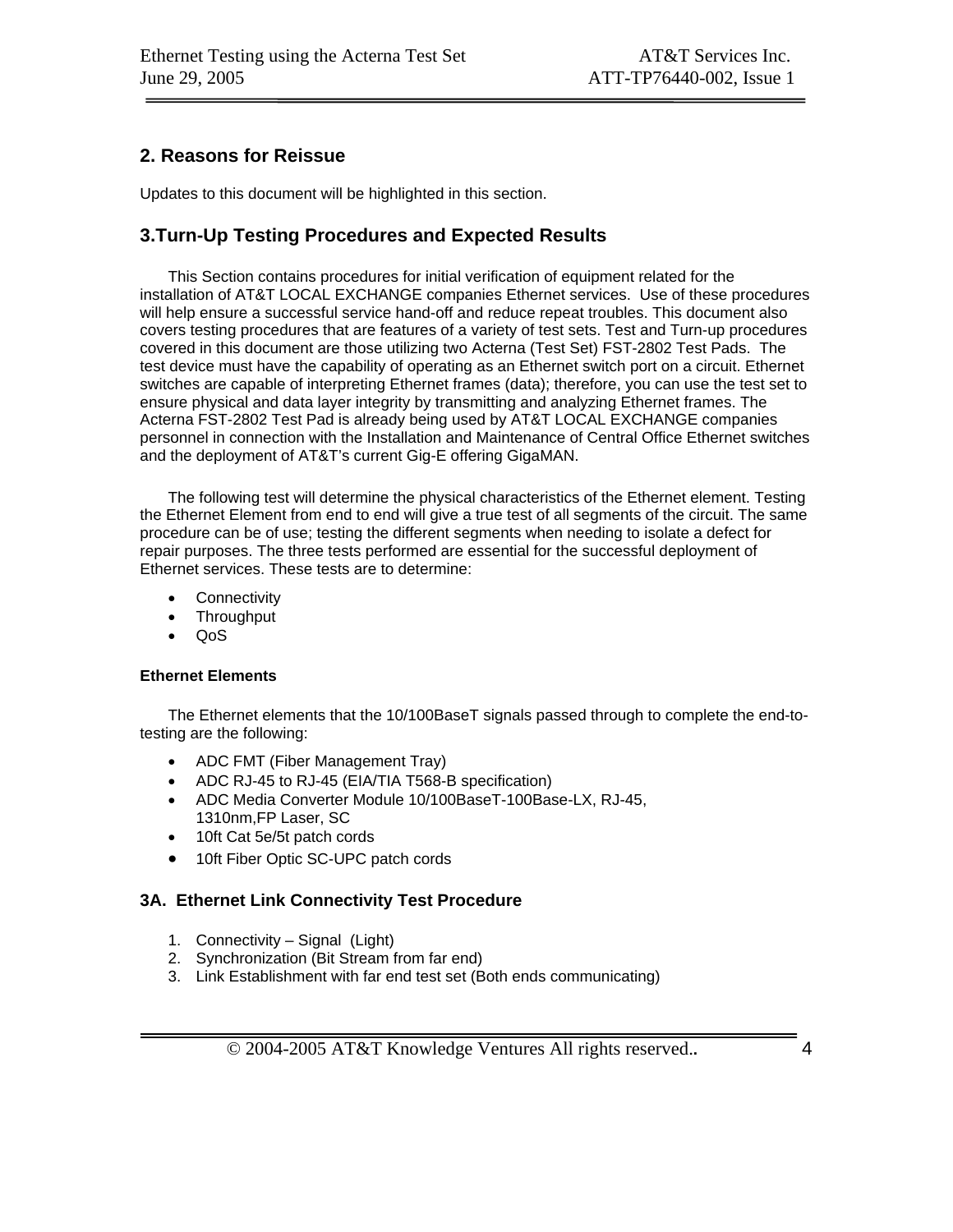## **2. Reasons for Reissue**

Updates to this document will be highlighted in this section.

## **3.Turn-Up Testing Procedures and Expected Results**

This Section contains procedures for initial verification of equipment related for the installation of AT&T LOCAL EXCHANGE companies Ethernet services. Use of these procedures will help ensure a successful service hand-off and reduce repeat troubles. This document also covers testing procedures that are features of a variety of test sets. Test and Turn-up procedures covered in this document are those utilizing two Acterna (Test Set) FST-2802 Test Pads. The test device must have the capability of operating as an Ethernet switch port on a circuit. Ethernet switches are capable of interpreting Ethernet frames (data); therefore, you can use the test set to ensure physical and data layer integrity by transmitting and analyzing Ethernet frames. The Acterna FST-2802 Test Pad is already being used by AT&T LOCAL EXCHANGE companies personnel in connection with the Installation and Maintenance of Central Office Ethernet switches and the deployment of AT&T's current Gig-E offering GigaMAN.

The following test will determine the physical characteristics of the Ethernet element. Testing the Ethernet Element from end to end will give a true test of all segments of the circuit. The same procedure can be of use; testing the different segments when needing to isolate a defect for repair purposes. The three tests performed are essential for the successful deployment of Ethernet services. These tests are to determine:

- **Connectivity**
- Throughput
- QoS

#### **Ethernet Elements**

The Ethernet elements that the 10/100BaseT signals passed through to complete the end-totesting are the following:

- ADC FMT (Fiber Management Tray)
- ADC RJ-45 to RJ-45 (EIA/TIA T568-B specification)
- ADC Media Converter Module 10/100BaseT-100Base-LX, RJ-45, 1310nm,FP Laser, SC
- 10ft Cat 5e/5t patch cords
- 10ft Fiber Optic SC-UPC patch cords

#### **3A. Ethernet Link Connectivity Test Procedure**

- 1. Connectivity Signal (Light)
- 2. Synchronization (Bit Stream from far end)
- 3. Link Establishment with far end test set (Both ends communicating)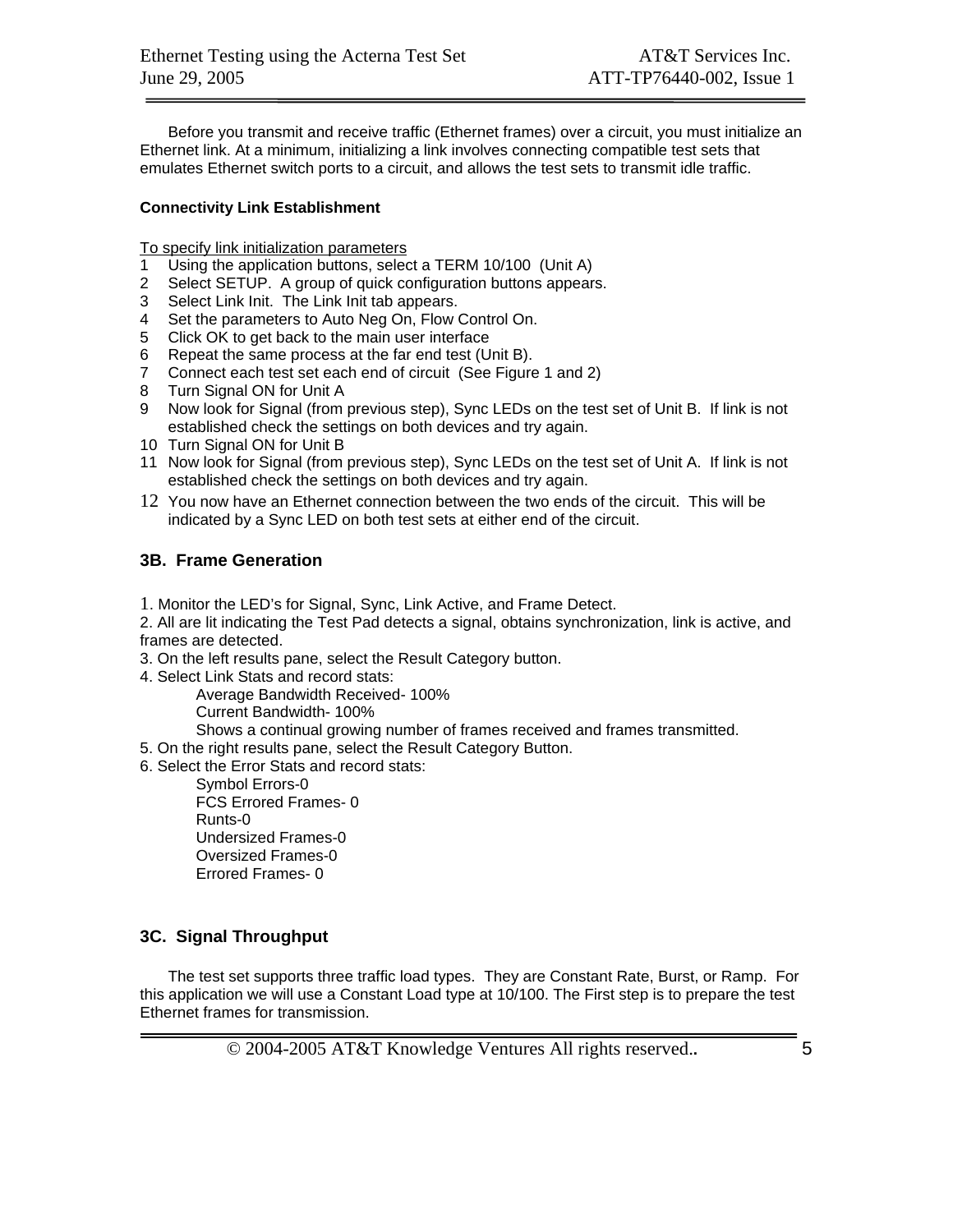Before you transmit and receive traffic (Ethernet frames) over a circuit, you must initialize an Ethernet link. At a minimum, initializing a link involves connecting compatible test sets that emulates Ethernet switch ports to a circuit, and allows the test sets to transmit idle traffic.

#### **Connectivity Link Establishment**

To specify link initialization parameters

- 1 Using the application buttons, select a TERM 10/100 (Unit A)
- 2 Select SETUP. A group of quick configuration buttons appears.
- 3 Select Link Init. The Link Init tab appears.
- 4 Set the parameters to Auto Neg On, Flow Control On.
- 5 Click OK to get back to the main user interface
- 6 Repeat the same process at the far end test (Unit B).
- 7 Connect each test set each end of circuit (See Figure 1 and 2)
- 8 Turn Signal ON for Unit A
- 9 Now look for Signal (from previous step), Sync LEDs on the test set of Unit B. If link is not established check the settings on both devices and try again.
- 10 Turn Signal ON for Unit B
- 11 Now look for Signal (from previous step), Sync LEDs on the test set of Unit A. If link is not established check the settings on both devices and try again.
- 12 You now have an Ethernet connection between the two ends of the circuit. This will be indicated by a Sync LED on both test sets at either end of the circuit.

#### **3B. Frame Generation**

1. Monitor the LED's for Signal, Sync, Link Active, and Frame Detect.

2. All are lit indicating the Test Pad detects a signal, obtains synchronization, link is active, and frames are detected.

3. On the left results pane, select the Result Category button.

- 4. Select Link Stats and record stats:
	- Average Bandwidth Received- 100%

Current Bandwidth- 100%

Shows a continual growing number of frames received and frames transmitted.

5. On the right results pane, select the Result Category Button.

6. Select the Error Stats and record stats:

 Symbol Errors-0 FCS Errored Frames- 0 Runts-0 Undersized Frames-0 Oversized Frames-0 Errored Frames- 0

#### **3C. Signal Throughput**

The test set supports three traffic load types. They are Constant Rate, Burst, or Ramp. For this application we will use a Constant Load type at 10/100. The First step is to prepare the test Ethernet frames for transmission.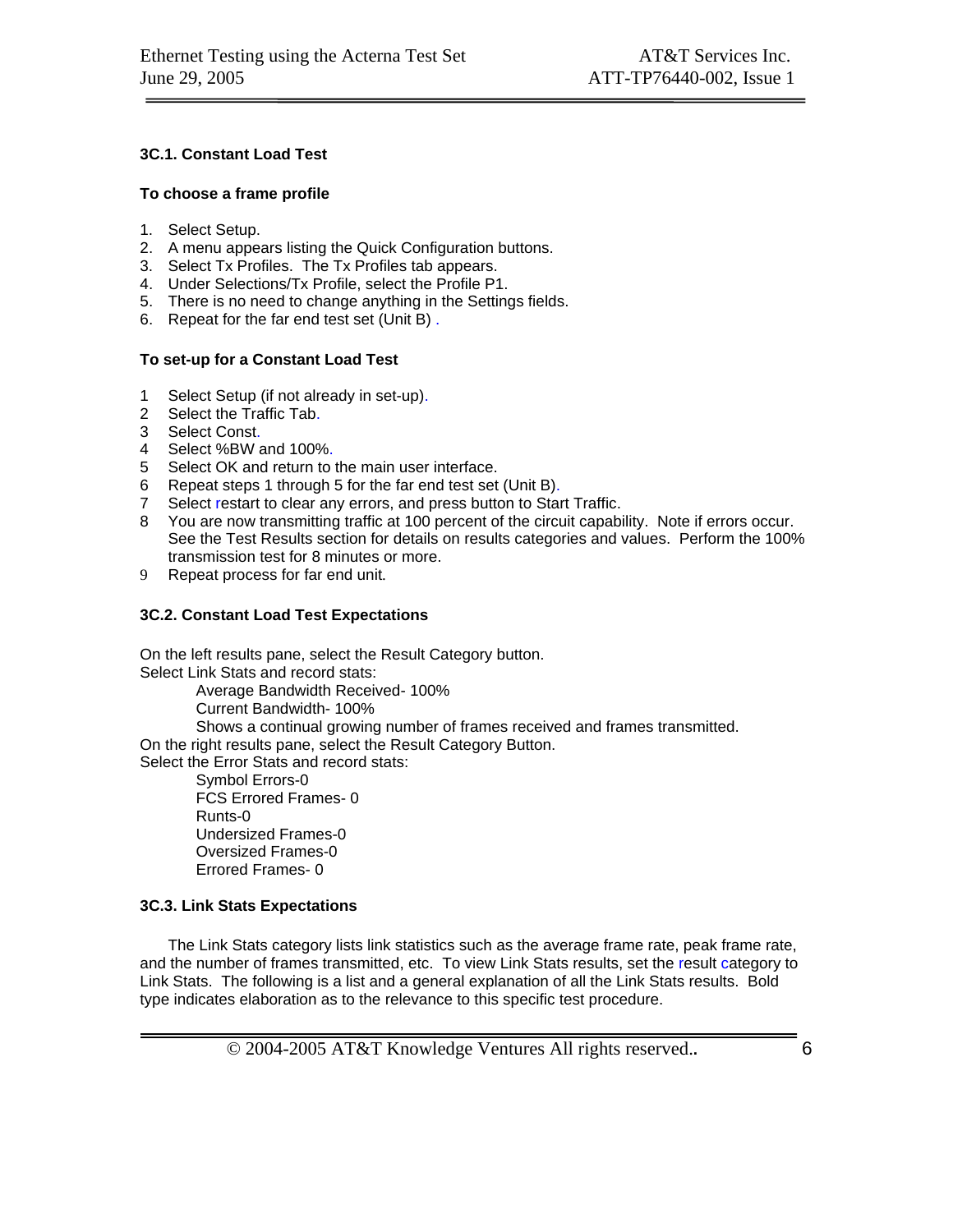#### **3C.1. Constant Load Test**

#### **To choose a frame profile**

- 1. Select Setup.
- 2. A menu appears listing the Quick Configuration buttons.
- 3. Select Tx Profiles. The Tx Profiles tab appears.
- 4. Under Selections/Tx Profile, select the Profile P1.
- 5. There is no need to change anything in the Settings fields.
- 6. Repeat for the far end test set (Unit B) .

#### **To set-up for a Constant Load Test**

- 1 Select Setup (if not already in set-up).
- 2 Select the Traffic Tab.
- 3 Select Const.
- 4 Select %BW and 100%.
- 5 Select OK and return to the main user interface.
- 6 Repeat steps 1 through 5 for the far end test set (Unit B).
- 7 Select restart to clear any errors, and press button to Start Traffic.
- 8 You are now transmitting traffic at 100 percent of the circuit capability. Note if errors occur. See the Test Results section for details on results categories and values. Perform the 100% transmission test for 8 minutes or more.
- 9 Repeat process for far end unit.

#### **3C.2. Constant Load Test Expectations**

On the left results pane, select the Result Category button. Select Link Stats and record stats:

Average Bandwidth Received- 100%

Current Bandwidth- 100%

Shows a continual growing number of frames received and frames transmitted.

On the right results pane, select the Result Category Button.

Select the Error Stats and record stats:

 Symbol Errors-0 FCS Errored Frames- 0 Runts-0 Undersized Frames-0 Oversized Frames-0 Errored Frames- 0

#### **3C.3. Link Stats Expectations**

The Link Stats category lists link statistics such as the average frame rate, peak frame rate, and the number of frames transmitted, etc. To view Link Stats results, set the result category to Link Stats. The following is a list and a general explanation of all the Link Stats results. Bold type indicates elaboration as to the relevance to this specific test procedure.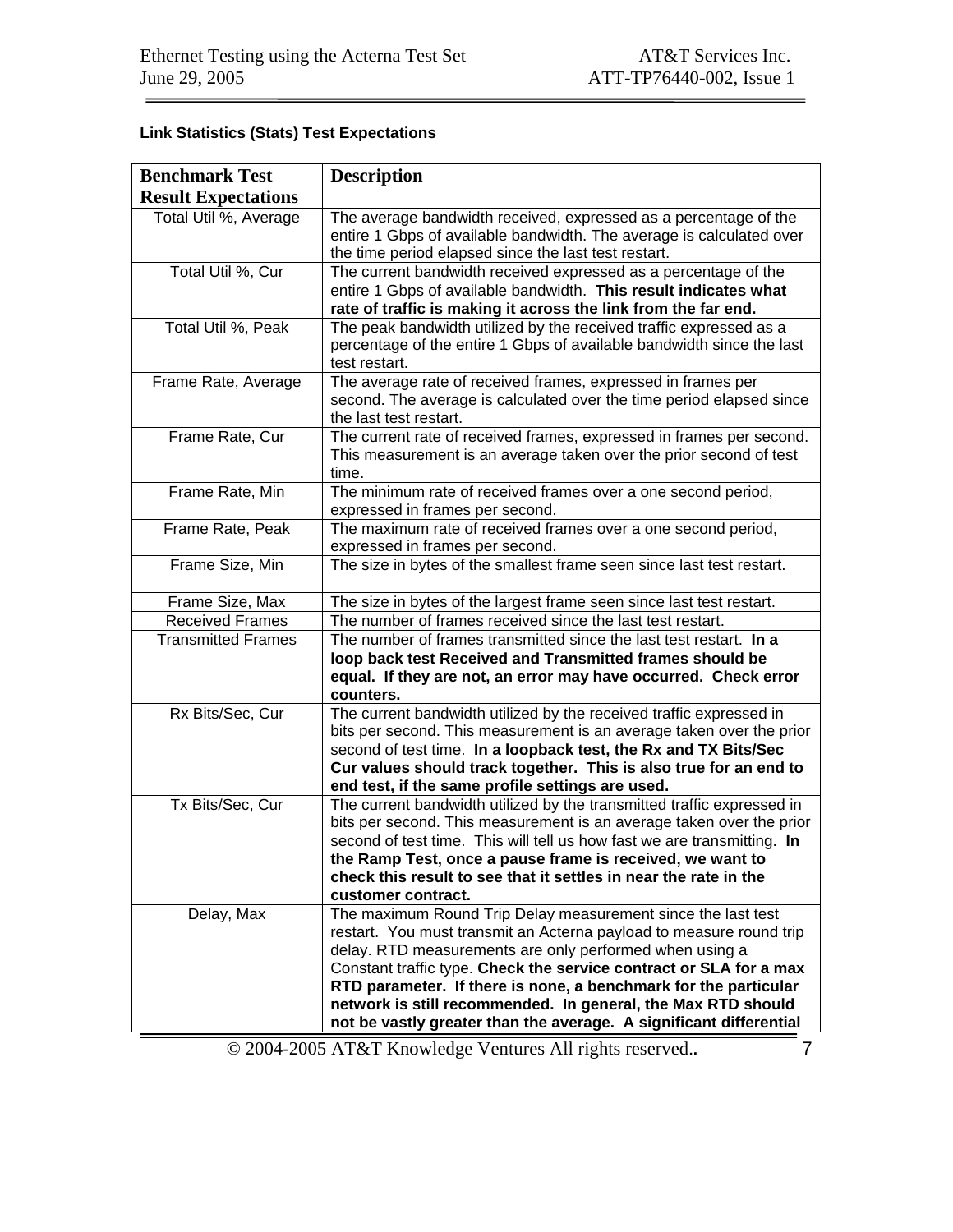## **Link Statistics (Stats) Test Expectations**

| <b>Benchmark Test</b>      | <b>Description</b>                                                                                                                                                                                                                                                                                                                                                                                                                                                            |
|----------------------------|-------------------------------------------------------------------------------------------------------------------------------------------------------------------------------------------------------------------------------------------------------------------------------------------------------------------------------------------------------------------------------------------------------------------------------------------------------------------------------|
| <b>Result Expectations</b> |                                                                                                                                                                                                                                                                                                                                                                                                                                                                               |
| Total Util %, Average      | The average bandwidth received, expressed as a percentage of the<br>entire 1 Gbps of available bandwidth. The average is calculated over<br>the time period elapsed since the last test restart.                                                                                                                                                                                                                                                                              |
| Total Util %, Cur          | The current bandwidth received expressed as a percentage of the<br>entire 1 Gbps of available bandwidth. This result indicates what<br>rate of traffic is making it across the link from the far end.                                                                                                                                                                                                                                                                         |
| Total Util %, Peak         | The peak bandwidth utilized by the received traffic expressed as a<br>percentage of the entire 1 Gbps of available bandwidth since the last<br>test restart.                                                                                                                                                                                                                                                                                                                  |
| Frame Rate, Average        | The average rate of received frames, expressed in frames per<br>second. The average is calculated over the time period elapsed since<br>the last test restart.                                                                                                                                                                                                                                                                                                                |
| Frame Rate, Cur            | The current rate of received frames, expressed in frames per second.<br>This measurement is an average taken over the prior second of test<br>time.                                                                                                                                                                                                                                                                                                                           |
| Frame Rate, Min            | The minimum rate of received frames over a one second period,<br>expressed in frames per second.                                                                                                                                                                                                                                                                                                                                                                              |
| Frame Rate, Peak           | The maximum rate of received frames over a one second period,<br>expressed in frames per second.                                                                                                                                                                                                                                                                                                                                                                              |
| Frame Size, Min            | The size in bytes of the smallest frame seen since last test restart.                                                                                                                                                                                                                                                                                                                                                                                                         |
| Frame Size, Max            | The size in bytes of the largest frame seen since last test restart.                                                                                                                                                                                                                                                                                                                                                                                                          |
| <b>Received Frames</b>     | The number of frames received since the last test restart.                                                                                                                                                                                                                                                                                                                                                                                                                    |
| <b>Transmitted Frames</b>  | The number of frames transmitted since the last test restart. In a<br>loop back test Received and Transmitted frames should be<br>equal. If they are not, an error may have occurred. Check error<br>counters.                                                                                                                                                                                                                                                                |
| Rx Bits/Sec, Cur           | The current bandwidth utilized by the received traffic expressed in<br>bits per second. This measurement is an average taken over the prior<br>second of test time. In a loopback test, the Rx and TX Bits/Sec<br>Cur values should track together. This is also true for an end to<br>end test, if the same profile settings are used.                                                                                                                                       |
| Tx Bits/Sec, Cur           | The current bandwidth utilized by the transmitted traffic expressed in<br>bits per second. This measurement is an average taken over the prior<br>second of test time. This will tell us how fast we are transmitting. In<br>the Ramp Test, once a pause frame is received, we want to<br>check this result to see that it settles in near the rate in the<br>customer contract.                                                                                              |
| Delay, Max                 | The maximum Round Trip Delay measurement since the last test<br>restart. You must transmit an Acterna payload to measure round trip<br>delay. RTD measurements are only performed when using a<br>Constant traffic type. Check the service contract or SLA for a max<br>RTD parameter. If there is none, a benchmark for the particular<br>network is still recommended. In general, the Max RTD should<br>not be vastly greater than the average. A significant differential |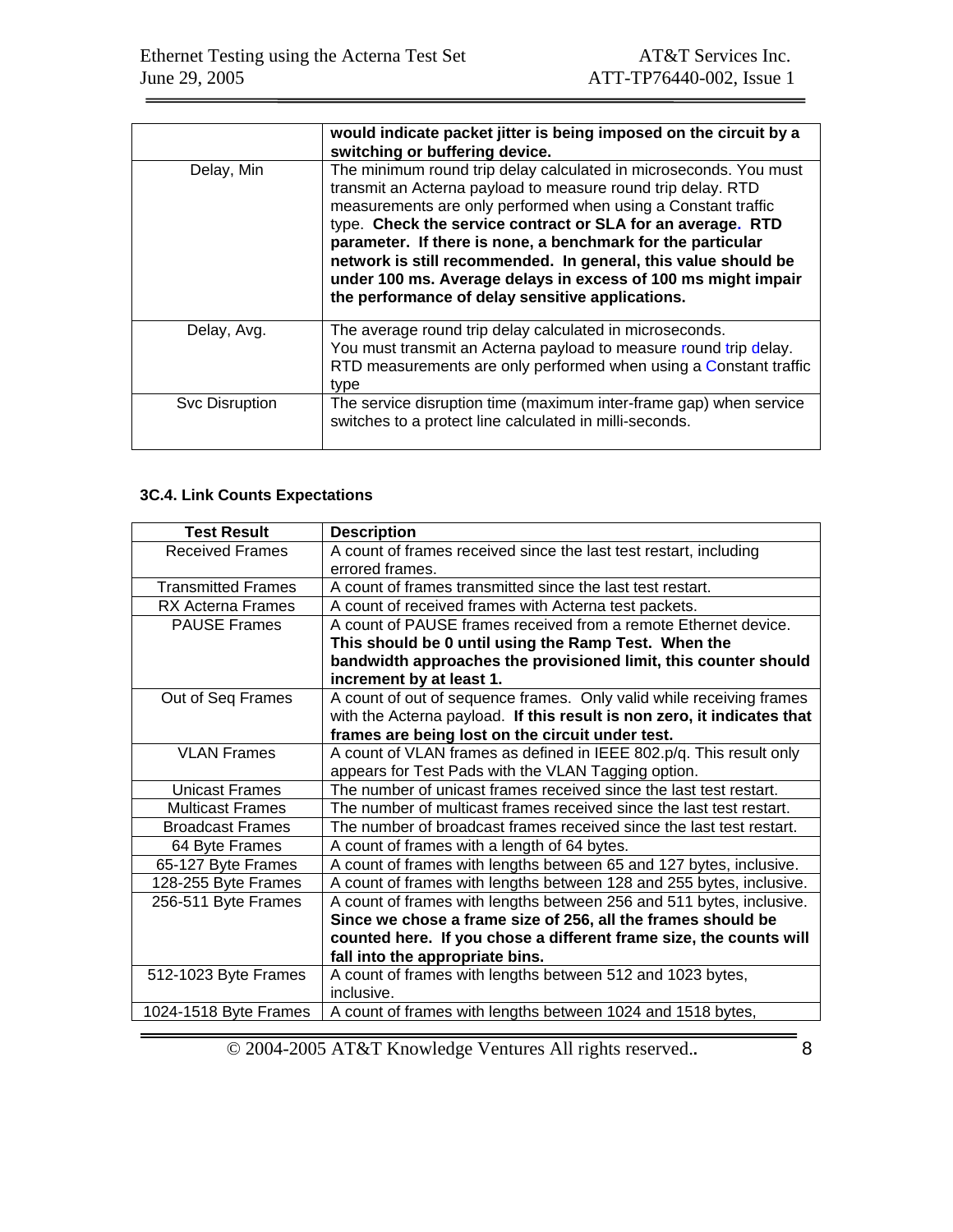|                | would indicate packet jitter is being imposed on the circuit by a<br>switching or buffering device.                                                                                                                                                                                                                                                                                                                                                                                                                     |
|----------------|-------------------------------------------------------------------------------------------------------------------------------------------------------------------------------------------------------------------------------------------------------------------------------------------------------------------------------------------------------------------------------------------------------------------------------------------------------------------------------------------------------------------------|
| Delay, Min     | The minimum round trip delay calculated in microseconds. You must<br>transmit an Acterna payload to measure round trip delay. RTD<br>measurements are only performed when using a Constant traffic<br>type. Check the service contract or SLA for an average. RTD<br>parameter. If there is none, a benchmark for the particular<br>network is still recommended. In general, this value should be<br>under 100 ms. Average delays in excess of 100 ms might impair<br>the performance of delay sensitive applications. |
| Delay, Avg.    | The average round trip delay calculated in microseconds.<br>You must transmit an Acterna payload to measure round trip delay.<br>RTD measurements are only performed when using a Constant traffic<br>type                                                                                                                                                                                                                                                                                                              |
| Svc Disruption | The service disruption time (maximum inter-frame gap) when service<br>switches to a protect line calculated in milli-seconds.                                                                                                                                                                                                                                                                                                                                                                                           |

## **3C.4. Link Counts Expectations**

| <b>Test Result</b>        | <b>Description</b>                                                                   |
|---------------------------|--------------------------------------------------------------------------------------|
| <b>Received Frames</b>    | A count of frames received since the last test restart, including<br>errored frames. |
| <b>Transmitted Frames</b> | A count of frames transmitted since the last test restart.                           |
| <b>RX Acterna Frames</b>  | A count of received frames with Acterna test packets.                                |
| <b>PAUSE Frames</b>       | A count of PAUSE frames received from a remote Ethernet device.                      |
|                           | This should be 0 until using the Ramp Test. When the                                 |
|                           | bandwidth approaches the provisioned limit, this counter should                      |
|                           | increment by at least 1.                                                             |
| Out of Seq Frames         | A count of out of sequence frames. Only valid while receiving frames                 |
|                           | with the Acterna payload. If this result is non zero, it indicates that              |
|                           | frames are being lost on the circuit under test.                                     |
| <b>VLAN Frames</b>        | A count of VLAN frames as defined in IEEE 802.p/q. This result only                  |
|                           | appears for Test Pads with the VLAN Tagging option.                                  |
| Unicast Frames            | The number of unicast frames received since the last test restart.                   |
| <b>Multicast Frames</b>   | The number of multicast frames received since the last test restart.                 |
| <b>Broadcast Frames</b>   | The number of broadcast frames received since the last test restart.                 |
| 64 Byte Frames            | A count of frames with a length of 64 bytes.                                         |
| 65-127 Byte Frames        | A count of frames with lengths between 65 and 127 bytes, inclusive.                  |
| 128-255 Byte Frames       | A count of frames with lengths between 128 and 255 bytes, inclusive.                 |
| 256-511 Byte Frames       | A count of frames with lengths between 256 and 511 bytes, inclusive.                 |
|                           | Since we chose a frame size of 256, all the frames should be                         |
|                           | counted here. If you chose a different frame size, the counts will                   |
|                           | fall into the appropriate bins.                                                      |
| 512-1023 Byte Frames      | A count of frames with lengths between 512 and 1023 bytes,                           |
|                           | inclusive.                                                                           |
| 1024-1518 Byte Frames     | A count of frames with lengths between 1024 and 1518 bytes,                          |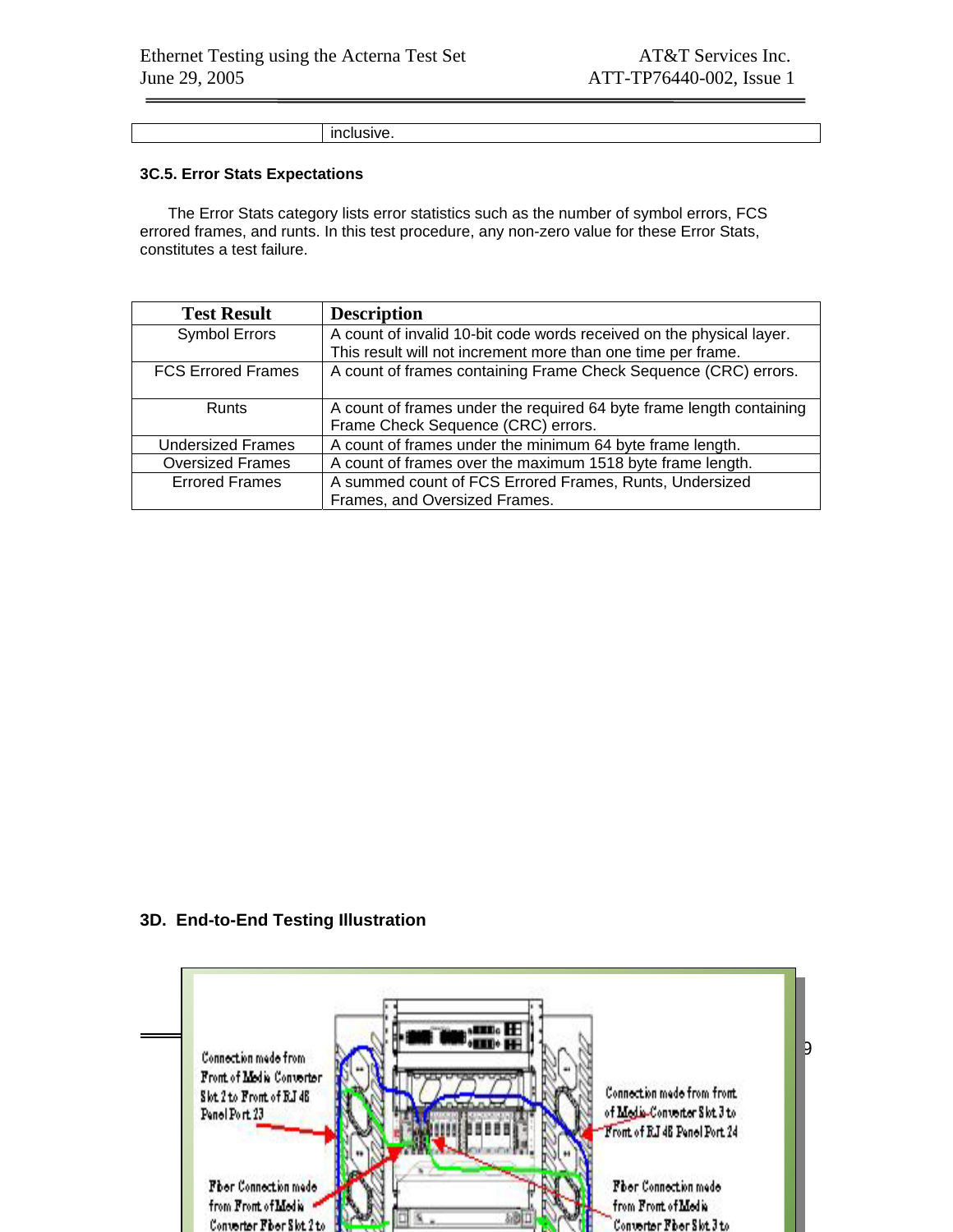inclusive.

#### **3C.5. Error Stats Expectations**

The Error Stats category lists error statistics such as the number of symbol errors, FCS errored frames, and runts. In this test procedure, any non-zero value for these Error Stats, constitutes a test failure.

| <b>Test Result</b>        | <b>Description</b>                                                                                         |
|---------------------------|------------------------------------------------------------------------------------------------------------|
| <b>Symbol Errors</b>      | A count of invalid 10-bit code words received on the physical layer.                                       |
|                           | This result will not increment more than one time per frame.                                               |
| <b>FCS Errored Frames</b> | A count of frames containing Frame Check Sequence (CRC) errors.                                            |
| <b>Runts</b>              | A count of frames under the required 64 byte frame length containing<br>Frame Check Sequence (CRC) errors. |
| <b>Undersized Frames</b>  | A count of frames under the minimum 64 byte frame length.                                                  |
| <b>Oversized Frames</b>   | A count of frames over the maximum 1518 byte frame length.                                                 |
| <b>Errored Frames</b>     | A summed count of FCS Errored Frames, Runts, Undersized<br>Frames, and Oversized Frames.                   |

#### **3D. End-to-End Testing Illustration**

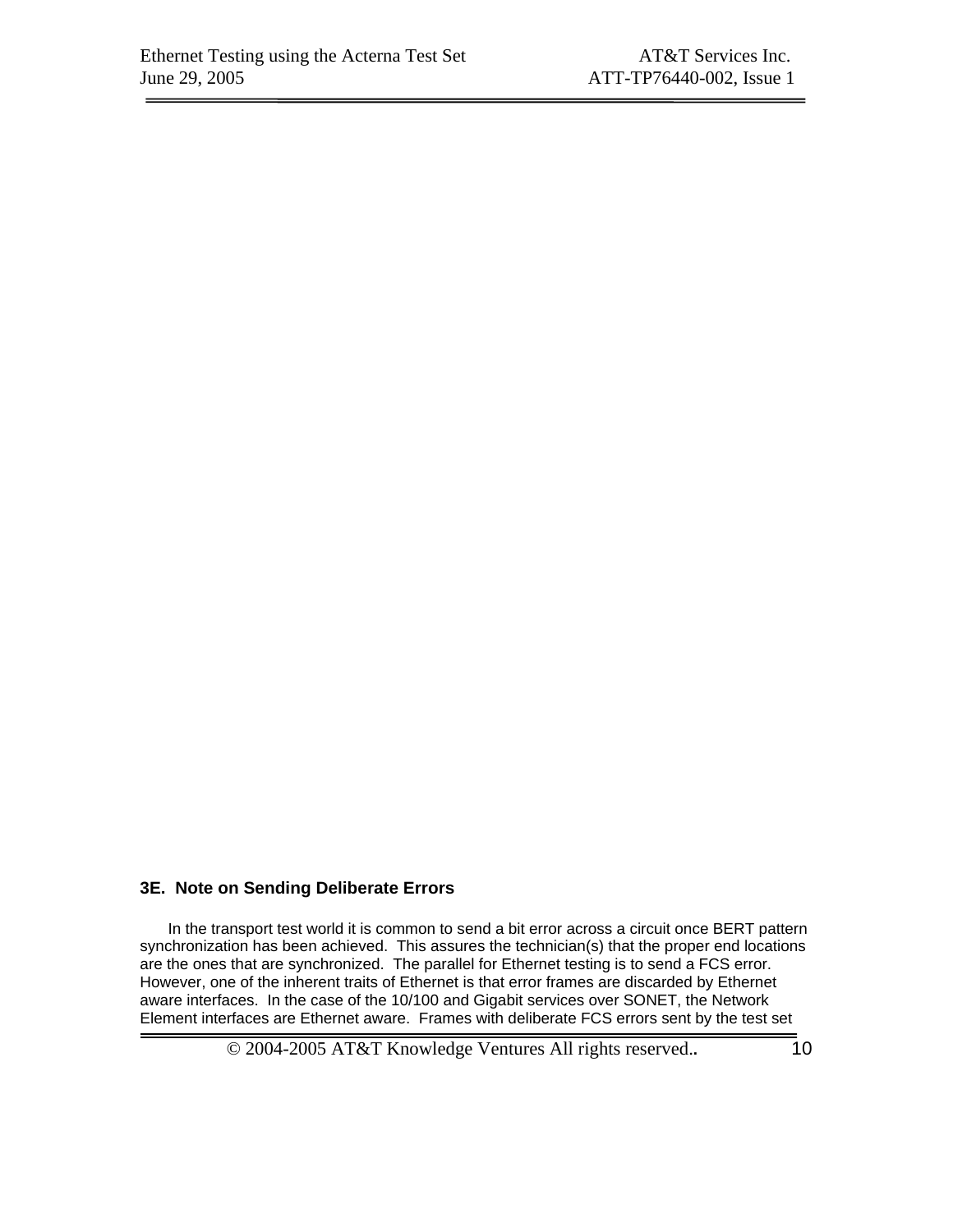#### **3E. Note on Sending Deliberate Errors**

In the transport test world it is common to send a bit error across a circuit once BERT pattern synchronization has been achieved. This assures the technician(s) that the proper end locations are the ones that are synchronized. The parallel for Ethernet testing is to send a FCS error. However, one of the inherent traits of Ethernet is that error frames are discarded by Ethernet aware interfaces. In the case of the 10/100 and Gigabit services over SONET, the Network Element interfaces are Ethernet aware. Frames with deliberate FCS errors sent by the test set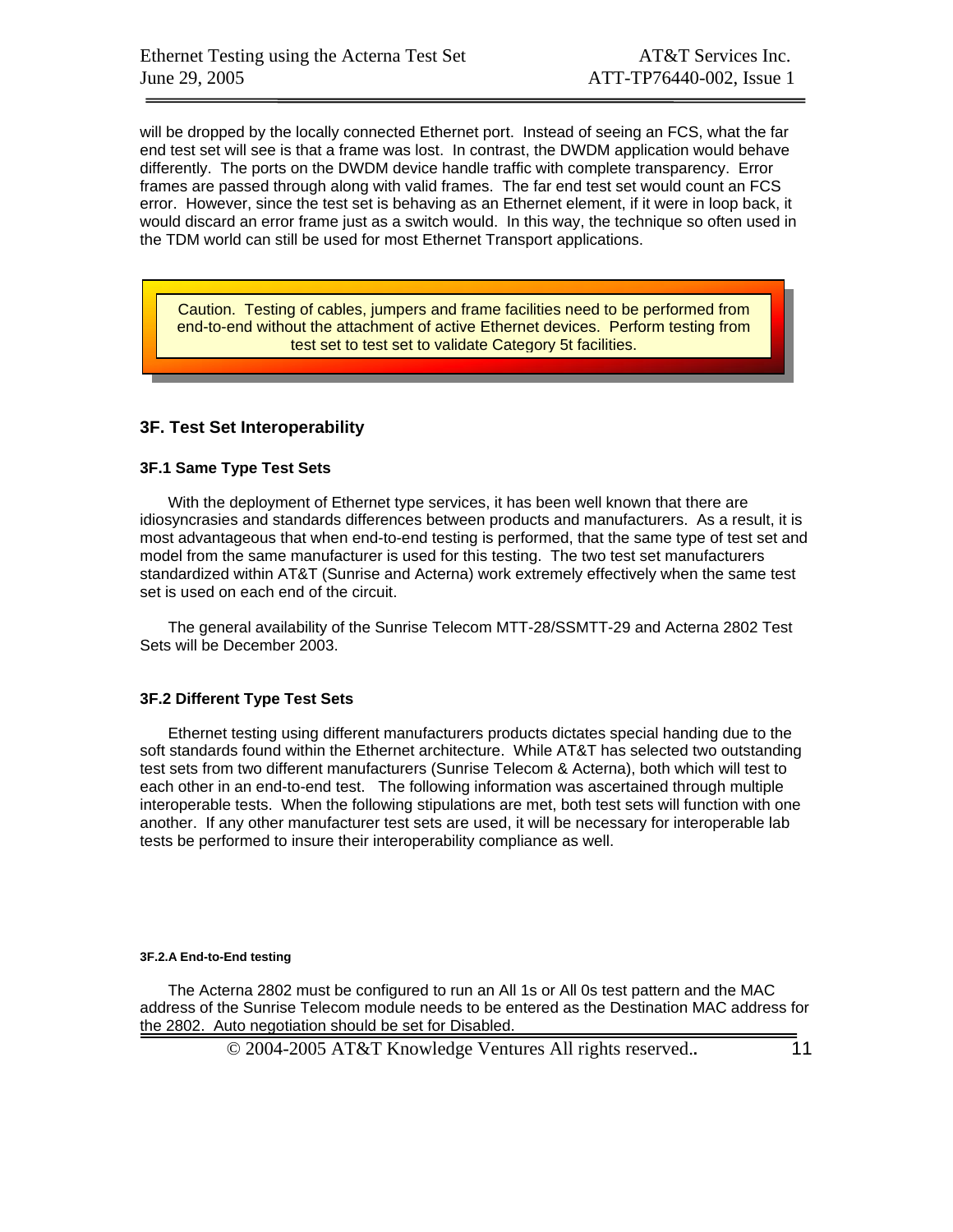will be dropped by the locally connected Ethernet port. Instead of seeing an FCS, what the far end test set will see is that a frame was lost. In contrast, the DWDM application would behave differently. The ports on the DWDM device handle traffic with complete transparency. Error frames are passed through along with valid frames. The far end test set would count an FCS error. However, since the test set is behaving as an Ethernet element, if it were in loop back, it would discard an error frame just as a switch would. In this way, the technique so often used in the TDM world can still be used for most Ethernet Transport applications.

Caution. Testing of cables, jumpers and frame facilities need to be performed from end-to-end without the attachment of active Ethernet devices. Perform testing from test set to test set to validate Category 5t facilities.

#### **3F. Test Set Interoperability**

#### **3F.1 Same Type Test Sets**

With the deployment of Ethernet type services, it has been well known that there are idiosyncrasies and standards differences between products and manufacturers. As a result, it is most advantageous that when end-to-end testing is performed, that the same type of test set and model from the same manufacturer is used for this testing. The two test set manufacturers standardized within AT&T (Sunrise and Acterna) work extremely effectively when the same test set is used on each end of the circuit.

The general availability of the Sunrise Telecom MTT-28/SSMTT-29 and Acterna 2802 Test Sets will be December 2003.

#### **3F.2 Different Type Test Sets**

Ethernet testing using different manufacturers products dictates special handing due to the soft standards found within the Ethernet architecture. While AT&T has selected two outstanding test sets from two different manufacturers (Sunrise Telecom & Acterna), both which will test to each other in an end-to-end test. The following information was ascertained through multiple interoperable tests. When the following stipulations are met, both test sets will function with one another. If any other manufacturer test sets are used, it will be necessary for interoperable lab tests be performed to insure their interoperability compliance as well.

#### **3F.2.A End-to-End testing**

The Acterna 2802 must be configured to run an All 1s or All 0s test pattern and the MAC address of the Sunrise Telecom module needs to be entered as the Destination MAC address for the 2802. Auto negotiation should be set for Disabled.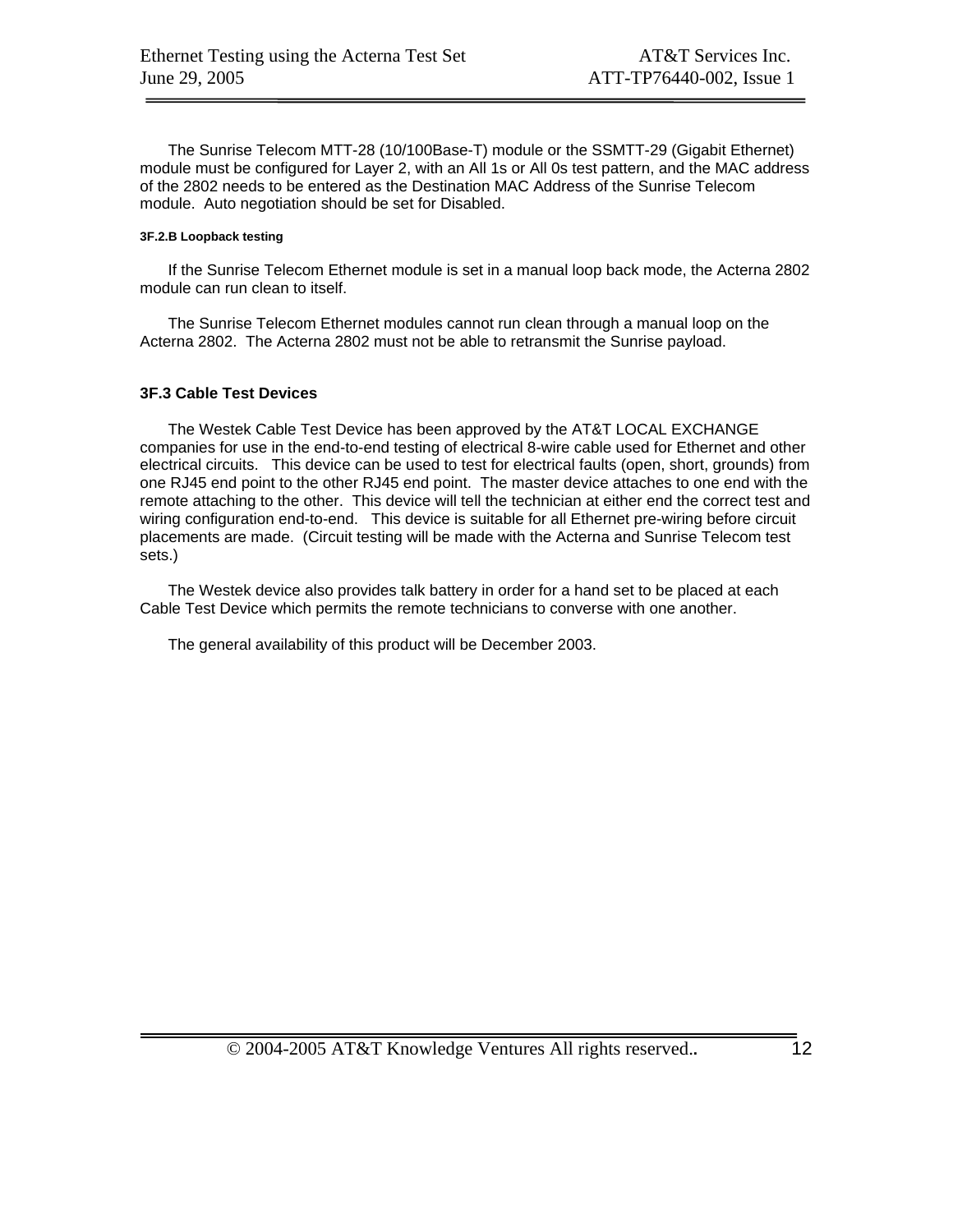The Sunrise Telecom MTT-28 (10/100Base-T) module or the SSMTT-29 (Gigabit Ethernet) module must be configured for Layer 2, with an All 1s or All 0s test pattern, and the MAC address of the 2802 needs to be entered as the Destination MAC Address of the Sunrise Telecom module. Auto negotiation should be set for Disabled.

#### **3F.2.B Loopback testing**

If the Sunrise Telecom Ethernet module is set in a manual loop back mode, the Acterna 2802 module can run clean to itself.

The Sunrise Telecom Ethernet modules cannot run clean through a manual loop on the Acterna 2802. The Acterna 2802 must not be able to retransmit the Sunrise payload.

#### **3F.3 Cable Test Devices**

The Westek Cable Test Device has been approved by the AT&T LOCAL EXCHANGE companies for use in the end-to-end testing of electrical 8-wire cable used for Ethernet and other electrical circuits. This device can be used to test for electrical faults (open, short, grounds) from one RJ45 end point to the other RJ45 end point. The master device attaches to one end with the remote attaching to the other. This device will tell the technician at either end the correct test and wiring configuration end-to-end. This device is suitable for all Ethernet pre-wiring before circuit placements are made. (Circuit testing will be made with the Acterna and Sunrise Telecom test sets.)

The Westek device also provides talk battery in order for a hand set to be placed at each Cable Test Device which permits the remote technicians to converse with one another.

The general availability of this product will be December 2003.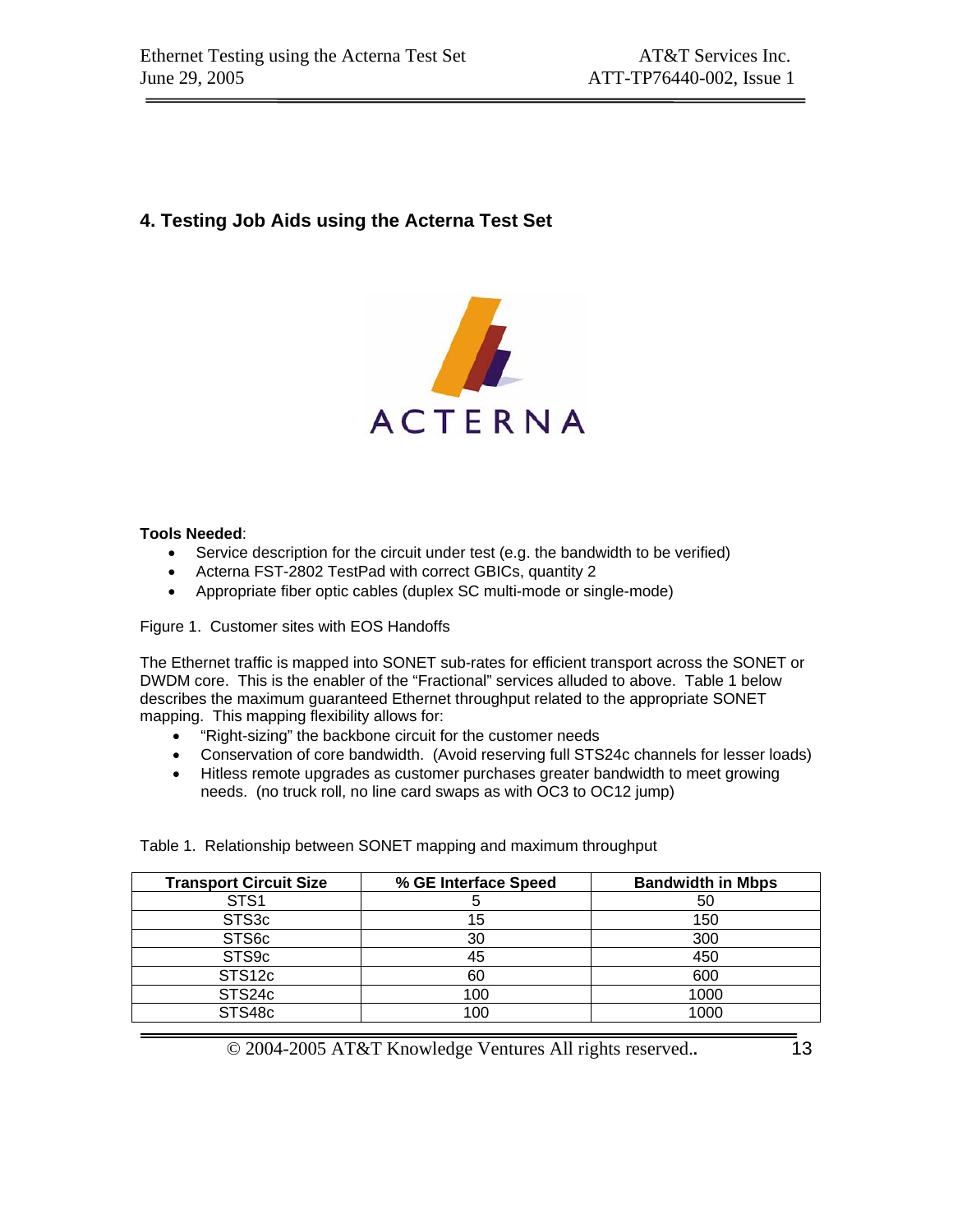## **4. Testing Job Aids using the Acterna Test Set**



#### **Tools Needed**:

- Service description for the circuit under test (e.g. the bandwidth to be verified)
- Acterna FST-2802 TestPad with correct GBICs, quantity 2
- Appropriate fiber optic cables (duplex SC multi-mode or single-mode)

Figure 1. Customer sites with EOS Handoffs

The Ethernet traffic is mapped into SONET sub-rates for efficient transport across the SONET or DWDM core. This is the enabler of the "Fractional" services alluded to above. Table 1 below describes the maximum guaranteed Ethernet throughput related to the appropriate SONET mapping. This mapping flexibility allows for:

- "Right-sizing" the backbone circuit for the customer needs
- Conservation of core bandwidth. (Avoid reserving full STS24c channels for lesser loads)
- Hitless remote upgrades as customer purchases greater bandwidth to meet growing needs. (no truck roll, no line card swaps as with OC3 to OC12 jump)

**Transport Circuit Size % GE Interface Speed Bandwidth in Mbps**  STS1 5 5 50  $STS3c$  15 150  $STS6c$   $|$  30  $|$  300  $STS9c$   $|$  45  $|$  450  $STS12c$  60 60 600 STS24c | 100 | 1000 STS48c | 100 | 1000

Table 1. Relationship between SONET mapping and maximum throughput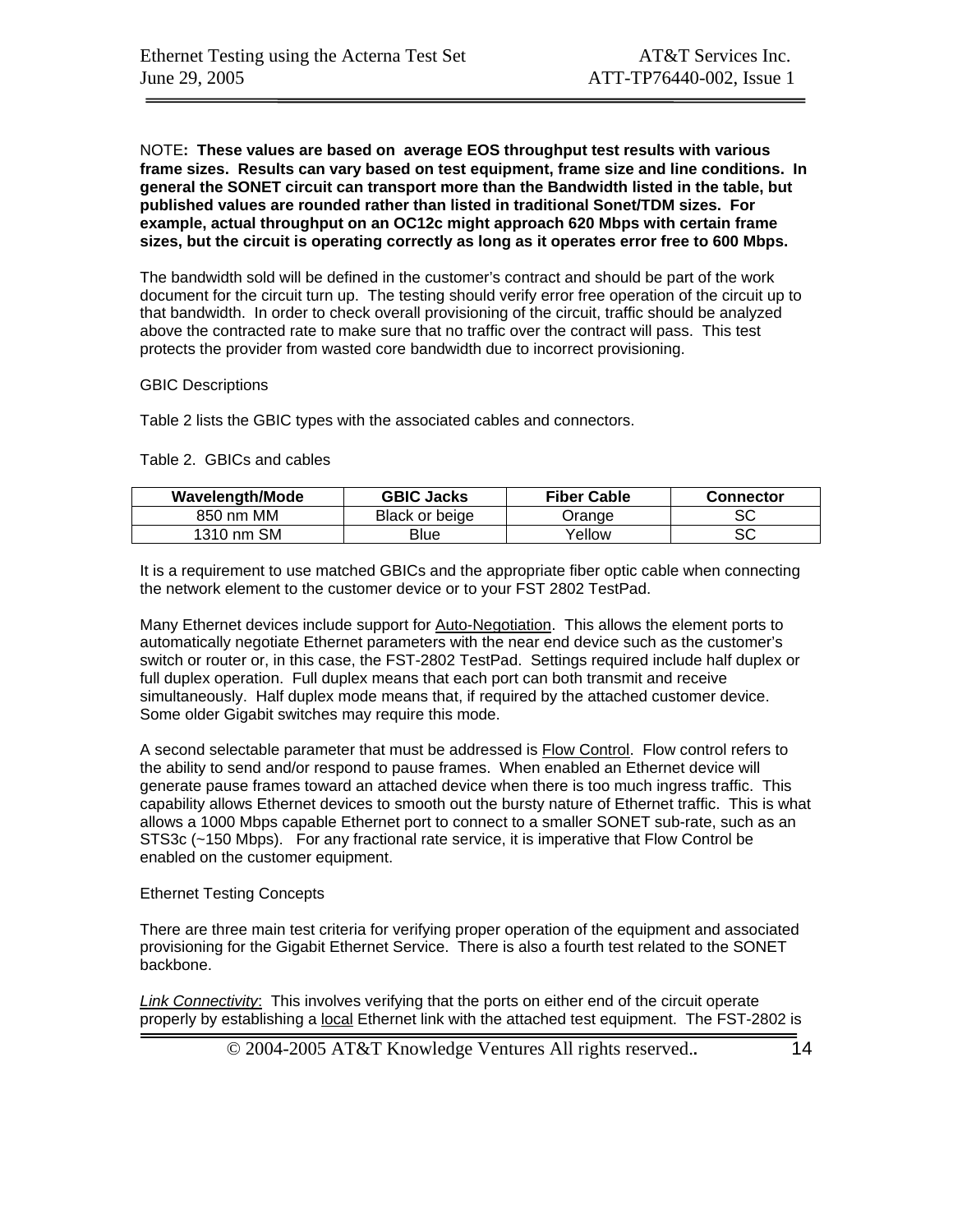NOTE**: These values are based on average EOS throughput test results with various frame sizes. Results can vary based on test equipment, frame size and line conditions. In general the SONET circuit can transport more than the Bandwidth listed in the table, but published values are rounded rather than listed in traditional Sonet/TDM sizes. For example, actual throughput on an OC12c might approach 620 Mbps with certain frame sizes, but the circuit is operating correctly as long as it operates error free to 600 Mbps.** 

The bandwidth sold will be defined in the customer's contract and should be part of the work document for the circuit turn up. The testing should verify error free operation of the circuit up to that bandwidth. In order to check overall provisioning of the circuit, traffic should be analyzed above the contracted rate to make sure that no traffic over the contract will pass. This test protects the provider from wasted core bandwidth due to incorrect provisioning.

#### GBIC Descriptions

Table 2 lists the GBIC types with the associated cables and connectors.

#### Table 2. GBICs and cables

| <b>Wavelength/Mode</b> | <b>GBIC Jacks</b> | <b>Fiber Cable</b> | Connector |
|------------------------|-------------------|--------------------|-----------|
| 850 nm MM              | Black or beige    | .<br>Jrange        | SC        |
| 1310 nm SM             | Blue              | Yellow             | SC        |

It is a requirement to use matched GBICs and the appropriate fiber optic cable when connecting the network element to the customer device or to your FST 2802 TestPad.

Many Ethernet devices include support for Auto-Negotiation. This allows the element ports to automatically negotiate Ethernet parameters with the near end device such as the customer's switch or router or, in this case, the FST-2802 TestPad. Settings required include half duplex or full duplex operation. Full duplex means that each port can both transmit and receive simultaneously. Half duplex mode means that, if required by the attached customer device. Some older Gigabit switches may require this mode.

A second selectable parameter that must be addressed is Flow Control. Flow control refers to the ability to send and/or respond to pause frames. When enabled an Ethernet device will generate pause frames toward an attached device when there is too much ingress traffic. This capability allows Ethernet devices to smooth out the bursty nature of Ethernet traffic. This is what allows a 1000 Mbps capable Ethernet port to connect to a smaller SONET sub-rate, such as an STS3c (~150 Mbps). For any fractional rate service, it is imperative that Flow Control be enabled on the customer equipment.

#### Ethernet Testing Concepts

There are three main test criteria for verifying proper operation of the equipment and associated provisioning for the Gigabit Ethernet Service. There is also a fourth test related to the SONET backbone.

*Link Connectivity*: This involves verifying that the ports on either end of the circuit operate properly by establishing a local Ethernet link with the attached test equipment. The FST-2802 is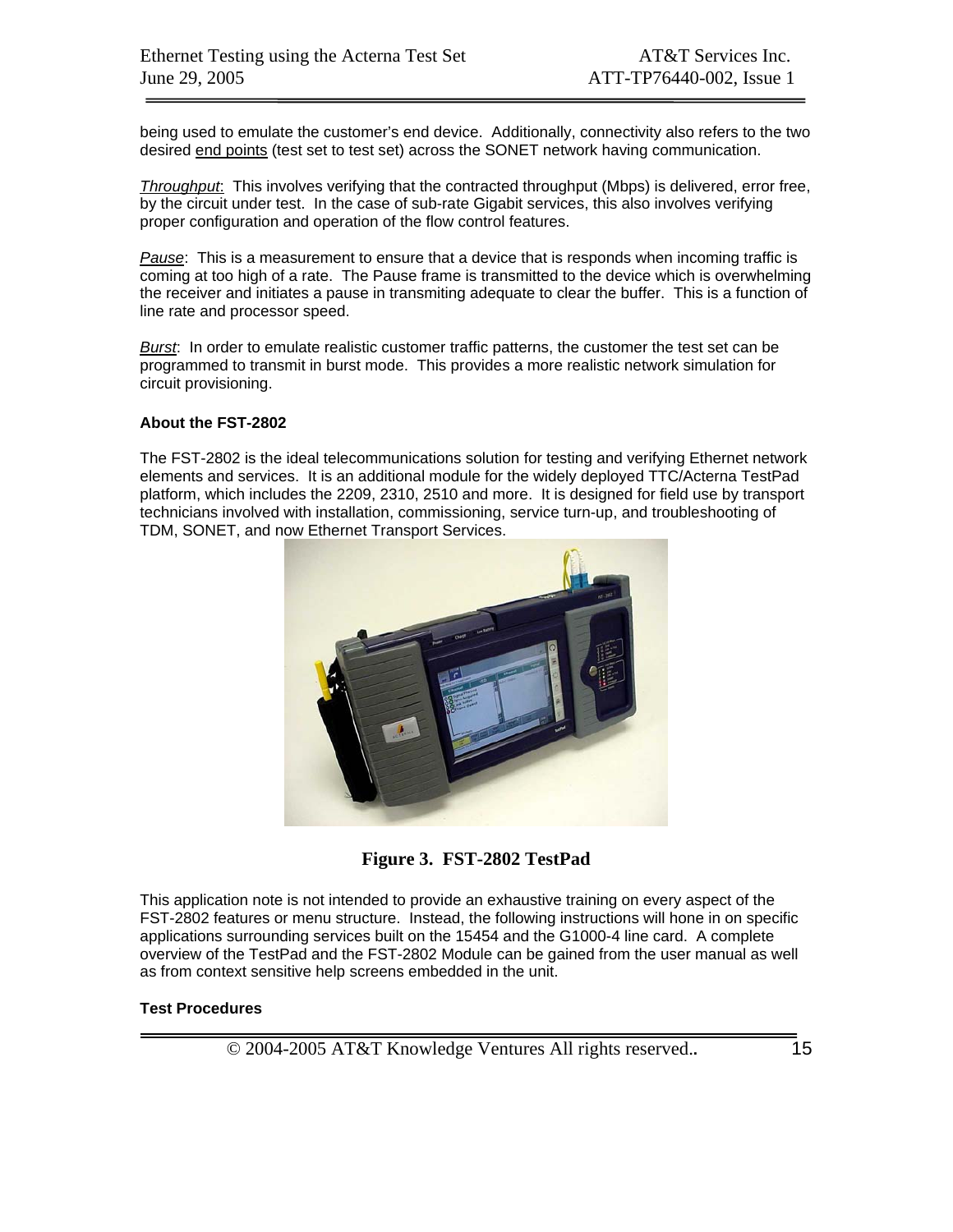being used to emulate the customer's end device. Additionally, connectivity also refers to the two desired end points (test set to test set) across the SONET network having communication.

*Throughput*: This involves verifying that the contracted throughput (Mbps) is delivered, error free, by the circuit under test. In the case of sub-rate Gigabit services, this also involves verifying proper configuration and operation of the flow control features.

*Pause*: This is a measurement to ensure that a device that is responds when incoming traffic is coming at too high of a rate. The Pause frame is transmitted to the device which is overwhelming the receiver and initiates a pause in transmiting adequate to clear the buffer. This is a function of line rate and processor speed.

*Burst*: In order to emulate realistic customer traffic patterns, the customer the test set can be programmed to transmit in burst mode. This provides a more realistic network simulation for circuit provisioning.

#### **About the FST-2802**

The FST-2802 is the ideal telecommunications solution for testing and verifying Ethernet network elements and services. It is an additional module for the widely deployed TTC/Acterna TestPad platform, which includes the 2209, 2310, 2510 and more. It is designed for field use by transport technicians involved with installation, commissioning, service turn-up, and troubleshooting of TDM, SONET, and now Ethernet Transport Services.



**Figure 3. FST-2802 TestPad** 

This application note is not intended to provide an exhaustive training on every aspect of the FST-2802 features or menu structure. Instead, the following instructions will hone in on specific applications surrounding services built on the 15454 and the G1000-4 line card. A complete overview of the TestPad and the FST-2802 Module can be gained from the user manual as well as from context sensitive help screens embedded in the unit.

#### **Test Procedures**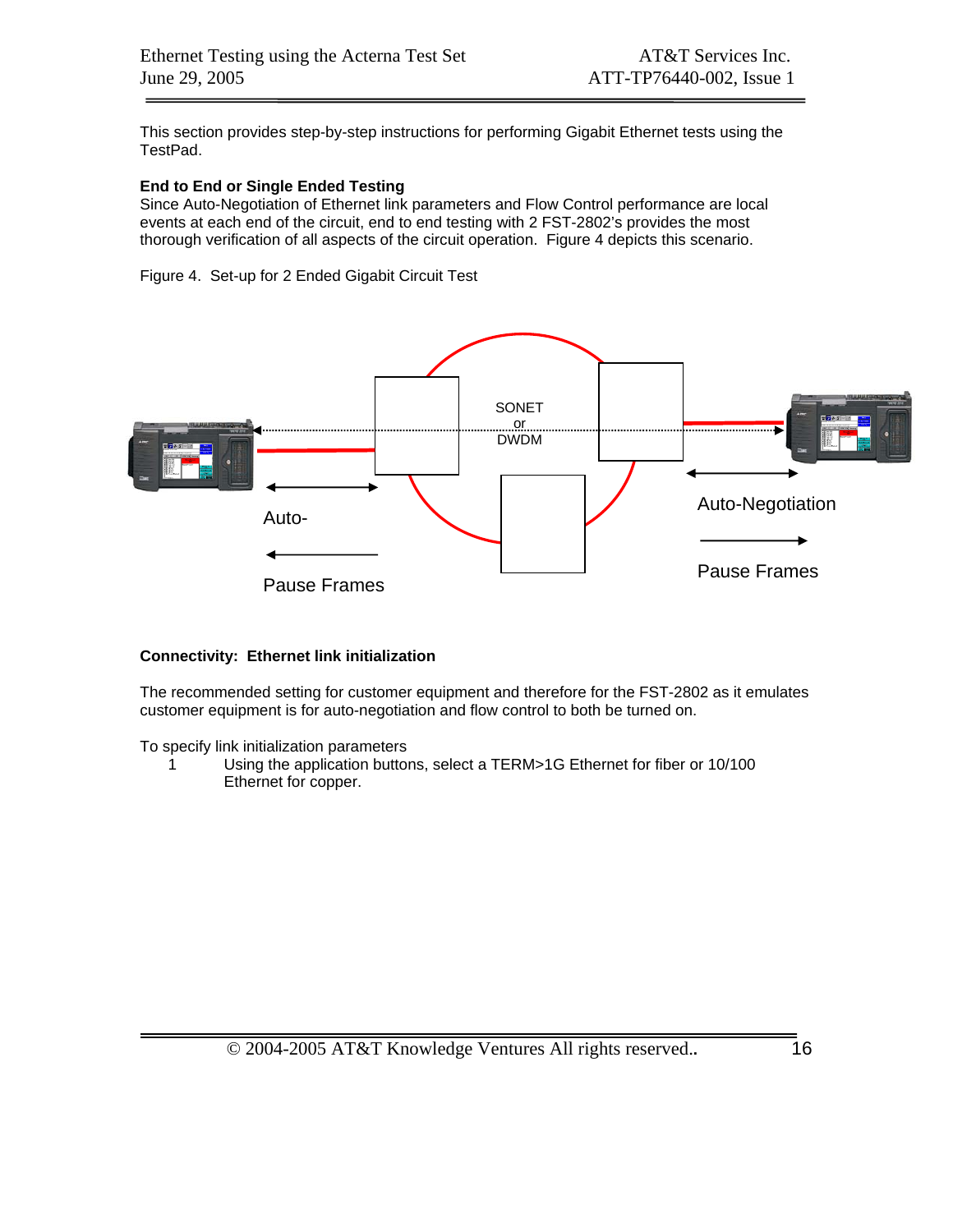This section provides step-by-step instructions for performing Gigabit Ethernet tests using the TestPad.

#### **End to End or Single Ended Testing**

Since Auto-Negotiation of Ethernet link parameters and Flow Control performance are local events at each end of the circuit, end to end testing with 2 FST-2802's provides the most thorough verification of all aspects of the circuit operation. Figure 4 depicts this scenario.

Figure 4. Set-up for 2 Ended Gigabit Circuit Test



#### **Connectivity: Ethernet link initialization**

The recommended setting for customer equipment and therefore for the FST-2802 as it emulates customer equipment is for auto-negotiation and flow control to both be turned on.

To specify link initialization parameters

1 Using the application buttons, select a TERM>1G Ethernet for fiber or 10/100 Ethernet for copper.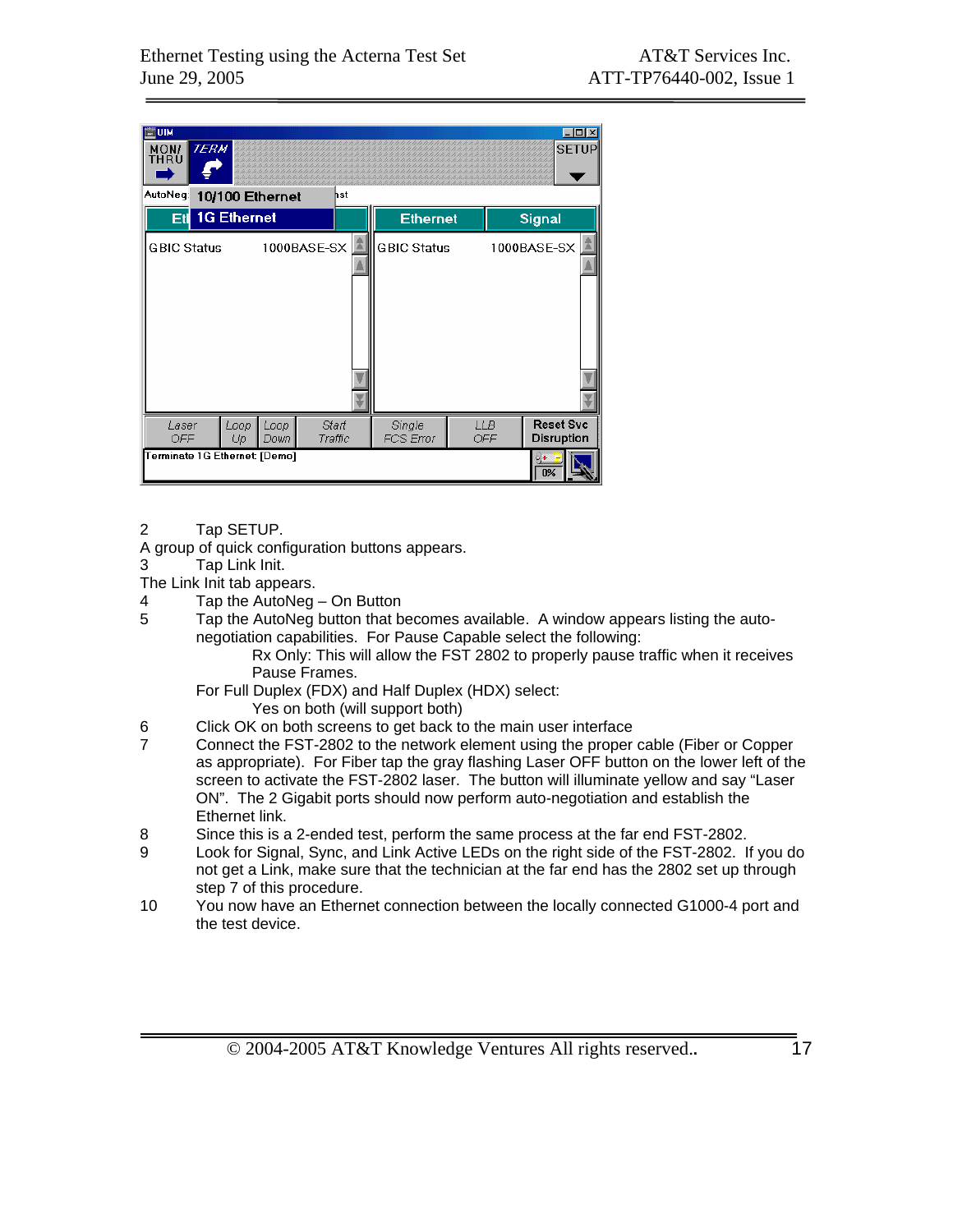| <b>ETUIM</b><br>MON/<br>THRU  | <b>TERM</b>        |            | , , , , , , , , , , , , , , , , , , , , |                  |     |                     |                   | -10<br><b>SETUP</b>            |
|-------------------------------|--------------------|------------|-----------------------------------------|------------------|-----|---------------------|-------------------|--------------------------------|
| AutoNeg:                      |                    |            | 10/100 Ethernet                         |                  | hst |                     |                   |                                |
| Etl                           | <b>1G Ethernet</b> |            |                                         |                  |     | <b>Ethernet</b>     |                   | Signal                         |
| <b>GBIC Status</b>            |                    |            | 1000BASE-SX                             |                  |     | <b>GBIC Status</b>  |                   | 1000BASE-SX                    |
| Laser<br>OFF                  |                    | Loop<br>Up | Loop<br>Down                            | Start<br>Traffic |     | Single<br>FCS Error | <b>LLB</b><br>OFF | <b>Reset Svc</b><br>Disruption |
| Terminate 1G Ethernet: [Demo] |                    |            |                                         |                  |     |                     |                   | 0%                             |

2 Tap SETUP.

A group of quick configuration buttons appears.

3 Tap Link Init.

- The Link Init tab appears.
- 4 Tap the AutoNeg On Button<br>5 Tap the AutoNeg button that b
	- Tap the AutoNeg button that becomes available. A window appears listing the autonegotiation capabilities. For Pause Capable select the following:

Rx Only: This will allow the FST 2802 to properly pause traffic when it receives Pause Frames.

For Full Duplex (FDX) and Half Duplex (HDX) select:

- Yes on both (will support both)
- 6 Click OK on both screens to get back to the main user interface
- 7 Connect the FST-2802 to the network element using the proper cable (Fiber or Copper as appropriate). For Fiber tap the gray flashing Laser OFF button on the lower left of the screen to activate the FST-2802 laser. The button will illuminate yellow and say "Laser ON". The 2 Gigabit ports should now perform auto-negotiation and establish the Ethernet link.
- 8 Since this is a 2-ended test, perform the same process at the far end FST-2802.
- 9 Look for Signal, Sync, and Link Active LEDs on the right side of the FST-2802. If you do not get a Link, make sure that the technician at the far end has the 2802 set up through step 7 of this procedure.
- 10 You now have an Ethernet connection between the locally connected G1000-4 port and the test device.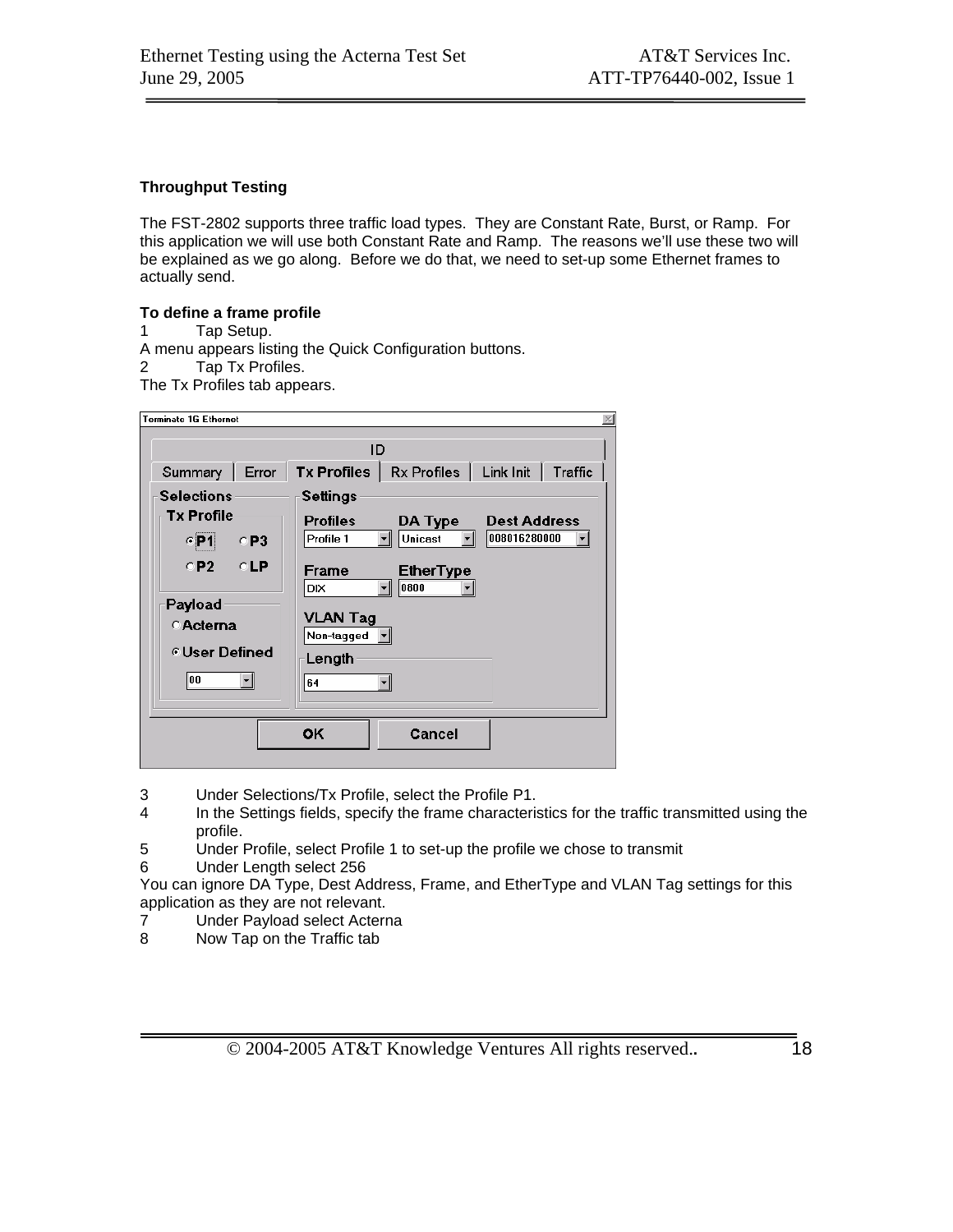#### **Throughput Testing**

The FST-2802 supports three traffic load types. They are Constant Rate, Burst, or Ramp. For this application we will use both Constant Rate and Ramp. The reasons we'll use these two will be explained as we go along. Before we do that, we need to set-up some Ethernet frames to actually send.

#### **To define a frame profile**

1 Tap Setup.

A menu appears listing the Quick Configuration buttons.

2 Tap Tx Profiles.

The Tx Profiles tab appears.

| <b>Terminate 1G Ethernet</b> |                               |                                 |                     |         |  |  |  |  |  |
|------------------------------|-------------------------------|---------------------------------|---------------------|---------|--|--|--|--|--|
|                              |                               |                                 |                     |         |  |  |  |  |  |
|                              | ID                            |                                 |                     |         |  |  |  |  |  |
| Error<br>Summary             | <b>Tx Profiles</b>            | $Rx$ Profiles $\vert$ Link Init |                     | Traffic |  |  |  |  |  |
| <b>Selections</b>            | <b>Settings</b>               |                                 |                     |         |  |  |  |  |  |
| <b>Tx Profile</b>            | <b>Profiles</b>               | DA Type                         | <b>Dest Address</b> |         |  |  |  |  |  |
| $\varepsilon$ P1<br>- ○ P3   | Profile 1                     | Unicast                         | 008016280000        |         |  |  |  |  |  |
| $CP2$ $CLP$                  | Frame<br>DIX                  | <b>EtherType</b><br>0800        |                     |         |  |  |  |  |  |
| Payload<br><b>CActerna</b>   | <b>VLAN Tag</b><br>Non-tagged |                                 |                     |         |  |  |  |  |  |
| © User Defined               | Length                        |                                 |                     |         |  |  |  |  |  |
| 00                           | 64                            |                                 |                     |         |  |  |  |  |  |
|                              | <b>OK</b>                     | Cancel                          |                     |         |  |  |  |  |  |

3 Under Selections/Tx Profile, select the Profile P1.

- 4 In the Settings fields, specify the frame characteristics for the traffic transmitted using the profile.
- 5 Under Profile, select Profile 1 to set-up the profile we chose to transmit
- 6 Under Length select 256

You can ignore DA Type, Dest Address, Frame, and EtherType and VLAN Tag settings for this application as they are not relevant.

- 7 Under Payload select Acterna
- 8 Now Tap on the Traffic tab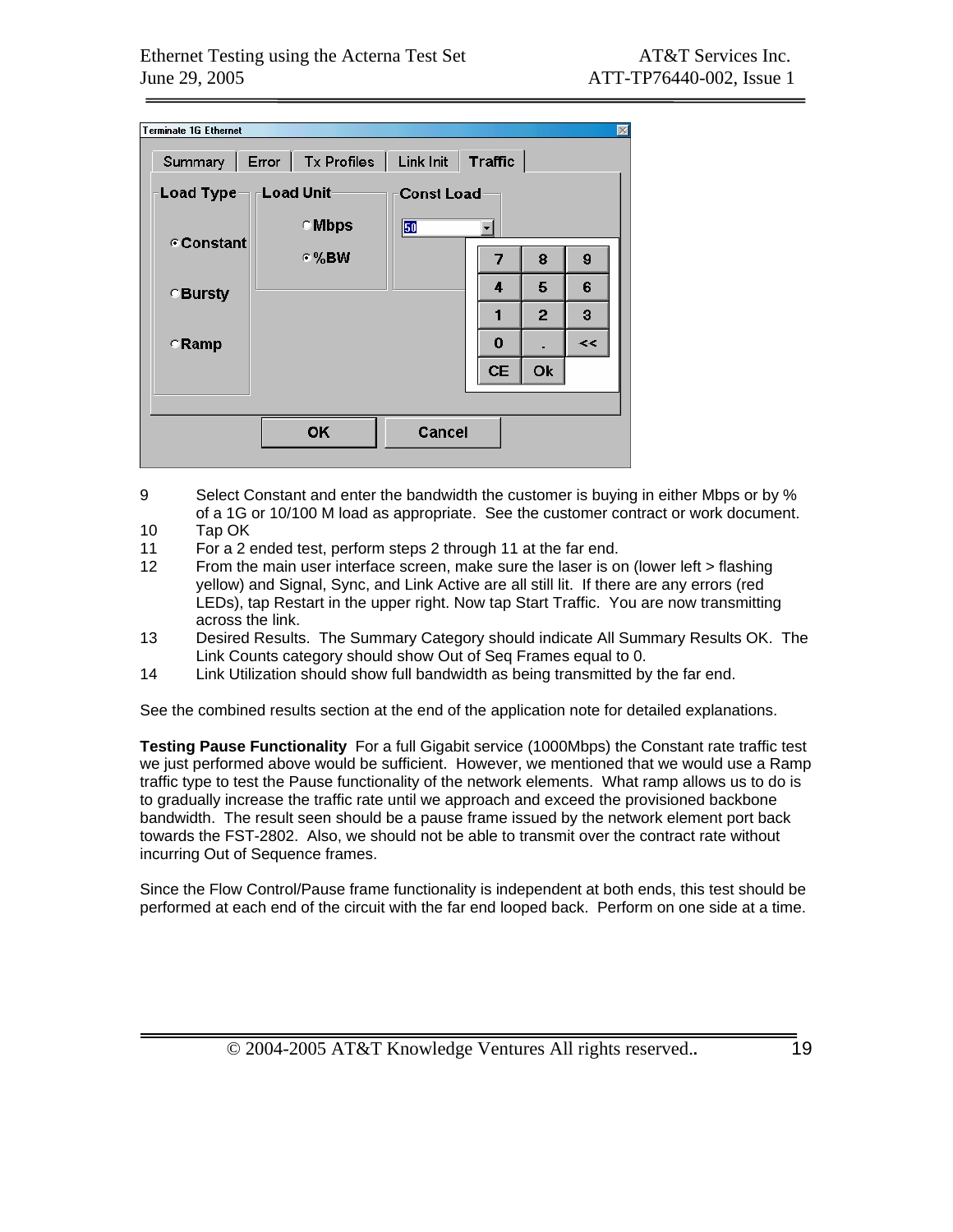| <b>Terminate 1G Ethernet</b>                                    |              |        |          |                |    |  |  |  |
|-----------------------------------------------------------------|--------------|--------|----------|----------------|----|--|--|--|
| Error   Tx Profiles  <br>Link Init<br><b>Traffic</b><br>Summary |              |        |          |                |    |  |  |  |
| <b>Load Unit</b><br><b>Load Type</b><br><b>Const Load</b>       |              |        |          |                |    |  |  |  |
|                                                                 | <b>CMbps</b> | 50     | ٠        |                |    |  |  |  |
| ⊕ Constant                                                      | $\cdot$ %BW  |        | 7        | 8              | 9  |  |  |  |
| <b>Bursty</b>                                                   |              |        | 4        | 5              | 6  |  |  |  |
|                                                                 |              |        |          | $\overline{2}$ | 3  |  |  |  |
| $\subset$ Ramp                                                  |              |        | $\Omega$ |                | << |  |  |  |
|                                                                 |              |        | CE       | Ok             |    |  |  |  |
|                                                                 |              |        |          |                |    |  |  |  |
|                                                                 | OK           | Cancel |          |                |    |  |  |  |
|                                                                 |              |        |          |                |    |  |  |  |

- 9 Select Constant and enter the bandwidth the customer is buying in either Mbps or by % of a 1G or 10/100 M load as appropriate. See the customer contract or work document.
- 10 Tap OK
- 11 For a 2 ended test, perform steps 2 through 11 at the far end.
- 12 From the main user interface screen, make sure the laser is on (lower left > flashing yellow) and Signal, Sync, and Link Active are all still lit. If there are any errors (red LEDs), tap Restart in the upper right. Now tap Start Traffic. You are now transmitting across the link.
- 13 Desired Results. The Summary Category should indicate All Summary Results OK. The Link Counts category should show Out of Seq Frames equal to 0.
- 14 Link Utilization should show full bandwidth as being transmitted by the far end.

See the combined results section at the end of the application note for detailed explanations.

**Testing Pause Functionality** For a full Gigabit service (1000Mbps) the Constant rate traffic test we just performed above would be sufficient. However, we mentioned that we would use a Ramp traffic type to test the Pause functionality of the network elements. What ramp allows us to do is to gradually increase the traffic rate until we approach and exceed the provisioned backbone bandwidth. The result seen should be a pause frame issued by the network element port back towards the FST-2802. Also, we should not be able to transmit over the contract rate without incurring Out of Sequence frames.

Since the Flow Control/Pause frame functionality is independent at both ends, this test should be performed at each end of the circuit with the far end looped back. Perform on one side at a time.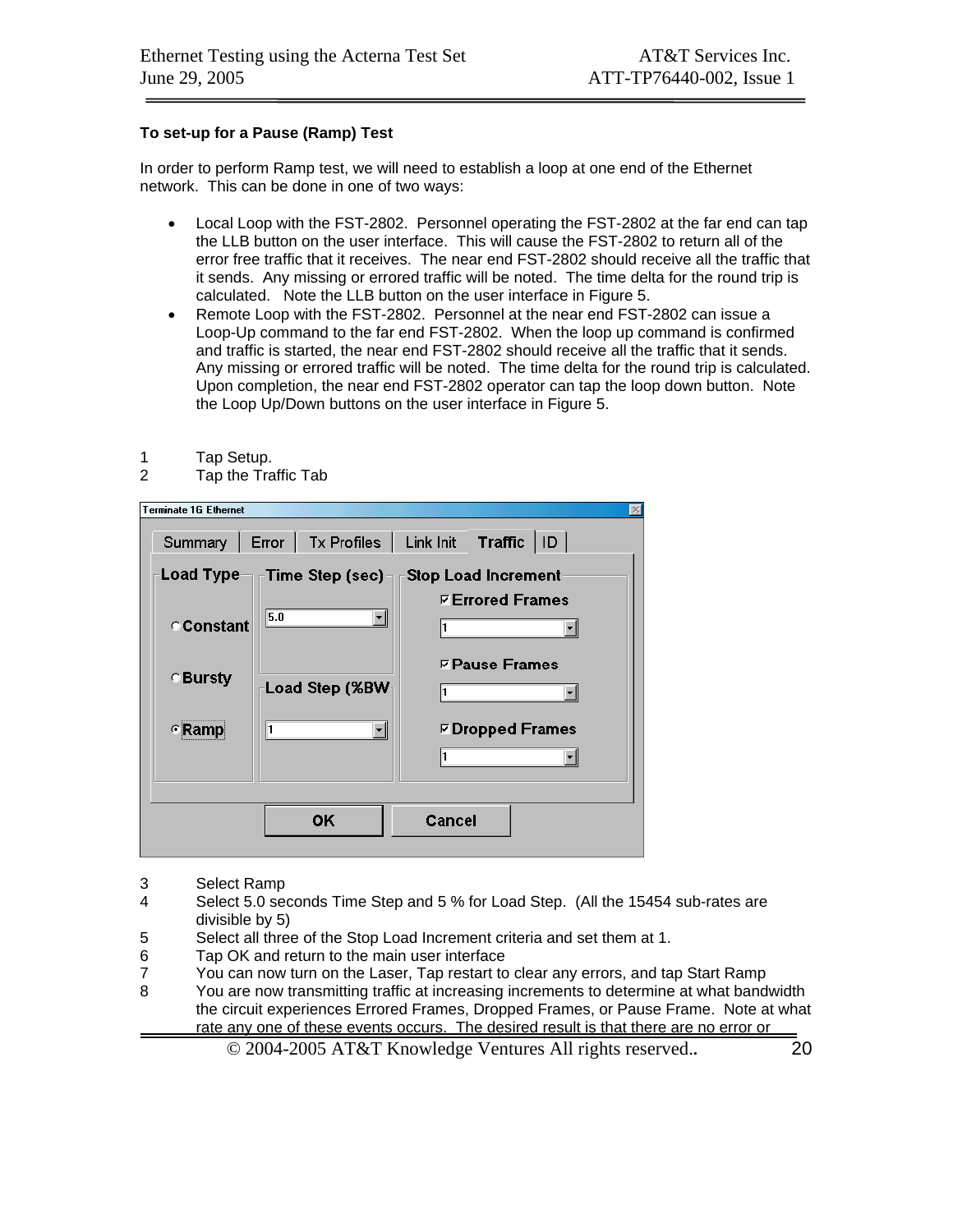#### **To set-up for a Pause (Ramp) Test**

In order to perform Ramp test, we will need to establish a loop at one end of the Ethernet network. This can be done in one of two ways:

- Local Loop with the FST-2802. Personnel operating the FST-2802 at the far end can tap the LLB button on the user interface. This will cause the FST-2802 to return all of the error free traffic that it receives. The near end FST-2802 should receive all the traffic that it sends. Any missing or errored traffic will be noted. The time delta for the round trip is calculated. Note the LLB button on the user interface in Figure 5.
- Remote Loop with the FST-2802. Personnel at the near end FST-2802 can issue a Loop-Up command to the far end FST-2802. When the loop up command is confirmed and traffic is started, the near end FST-2802 should receive all the traffic that it sends. Any missing or errored traffic will be noted. The time delta for the round trip is calculated. Upon completion, the near end FST-2802 operator can tap the loop down button. Note the Loop Up/Down buttons on the user interface in Figure 5.
- 1 Tap Setup.<br>2 Tap the Tra
- Tap the Traffic Tab

| <b>Terminate 1G Ethernet</b> |                                                     |                                                       |
|------------------------------|-----------------------------------------------------|-------------------------------------------------------|
|                              | Summary   Error   Tx Profiles   Link Init           | Traffic $ 1D $                                        |
|                              | Load Type $\neg$ $\ulcorner$ Time Step (sec) $\neg$ | $\mathop{\rule{0pt}{\mathsf{F}}}$ Stop Load Increment |
| Constant                     | 5.0                                                 | <b><b>⊽Errored Frames</b></b>                         |
| <b>Bursty</b>                | Load Step (%BW                                      | $\nabla$ Pause Frames                                 |
| <b>ERamp</b>                 |                                                     | $\nabla$ Dropped Frames                               |
|                              |                                                     |                                                       |
|                              |                                                     |                                                       |
|                              | OК                                                  | Cancel                                                |

- 3 Select Ramp
- 4 Select 5.0 seconds Time Step and 5 % for Load Step. (All the 15454 sub-rates are divisible by 5)
- 5 Select all three of the Stop Load Increment criteria and set them at 1.
- 6 Tap OK and return to the main user interface
- 7 You can now turn on the Laser, Tap restart to clear any errors, and tap Start Ramp
- 8 You are now transmitting traffic at increasing increments to determine at what bandwidth the circuit experiences Errored Frames, Dropped Frames, or Pause Frame. Note at what rate any one of these events occurs. The desired result is that there are no error or
	- © 2004-2005 AT&T Knowledge Ventures All rights reserved.**.** 20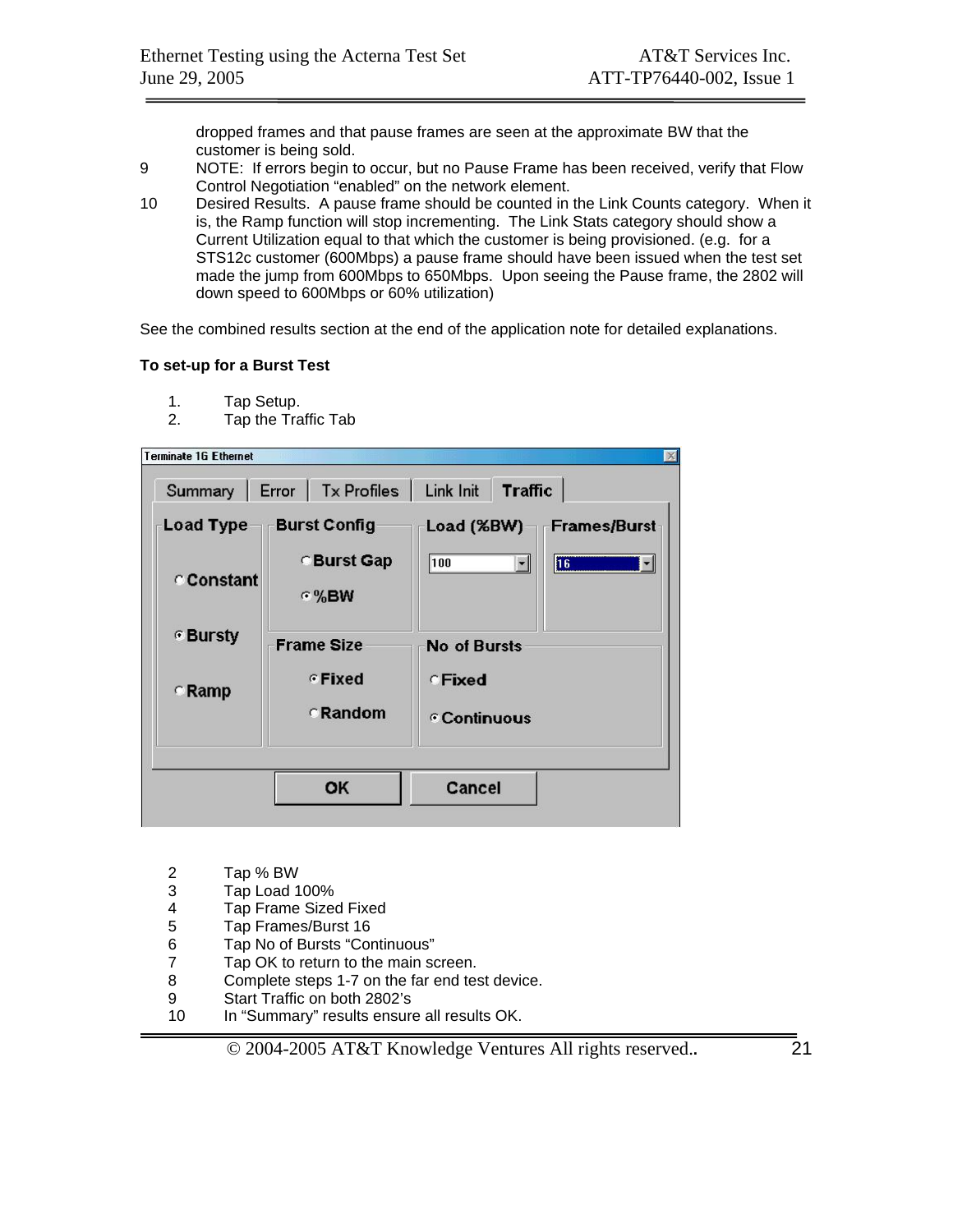dropped frames and that pause frames are seen at the approximate BW that the customer is being sold.

- 9 NOTE: If errors begin to occur, but no Pause Frame has been received, verify that Flow Control Negotiation "enabled" on the network element.
- 10 Desired Results. A pause frame should be counted in the Link Counts category. When it is, the Ramp function will stop incrementing. The Link Stats category should show a Current Utilization equal to that which the customer is being provisioned. (e.g. for a STS12c customer (600Mbps) a pause frame should have been issued when the test set made the jump from 600Mbps to 650Mbps. Upon seeing the Pause frame, the 2802 will down speed to 600Mbps or 60% utilization)

See the combined results section at the end of the application note for detailed explanations.

#### **To set-up for a Burst Test**

- 1. Tap Setup.<br>2. Tap the Tra
- Tap the Traffic Tab

| Summary      | Error   Tx Profiles   Link Init |                                                        | <b>Traffic</b>                             |
|--------------|---------------------------------|--------------------------------------------------------|--------------------------------------------|
| Load Type    | <b>Burst Config</b>             | Load (%BW)                                             | <b>Frames/Burst</b>                        |
| Constant     | <b>Burst Gap</b><br>$\odot$ %BW | 100                                                    | $\overline{\mathbf{16}}$<br>$\blacksquare$ |
| © Bursty     | <b>Frame Size</b>               | <b>No of Bursts</b>                                    |                                            |
| <b>CRamp</b> | <b>Fixed</b><br><b>CRandom</b>  | <b>CFixed</b><br><b><i><sup>c</sup> Continuous</i></b> |                                            |
|              | ОK                              | Cancel                                                 |                                            |

- 2 Tap % BW<br>3 Tap Load 1
- 3 Tap Load 100%
- 4 Tap Frame Sized Fixed<br>5 Tap Frames/Burst 16
- 5 Tap Frames/Burst 16
- 6 Tap No of Bursts "Continuous"
- 7 Tap OK to return to the main screen.
- 8 Complete steps 1-7 on the far end test device.
- 9 Start Traffic on both 2802's
- 10 In "Summary" results ensure all results OK.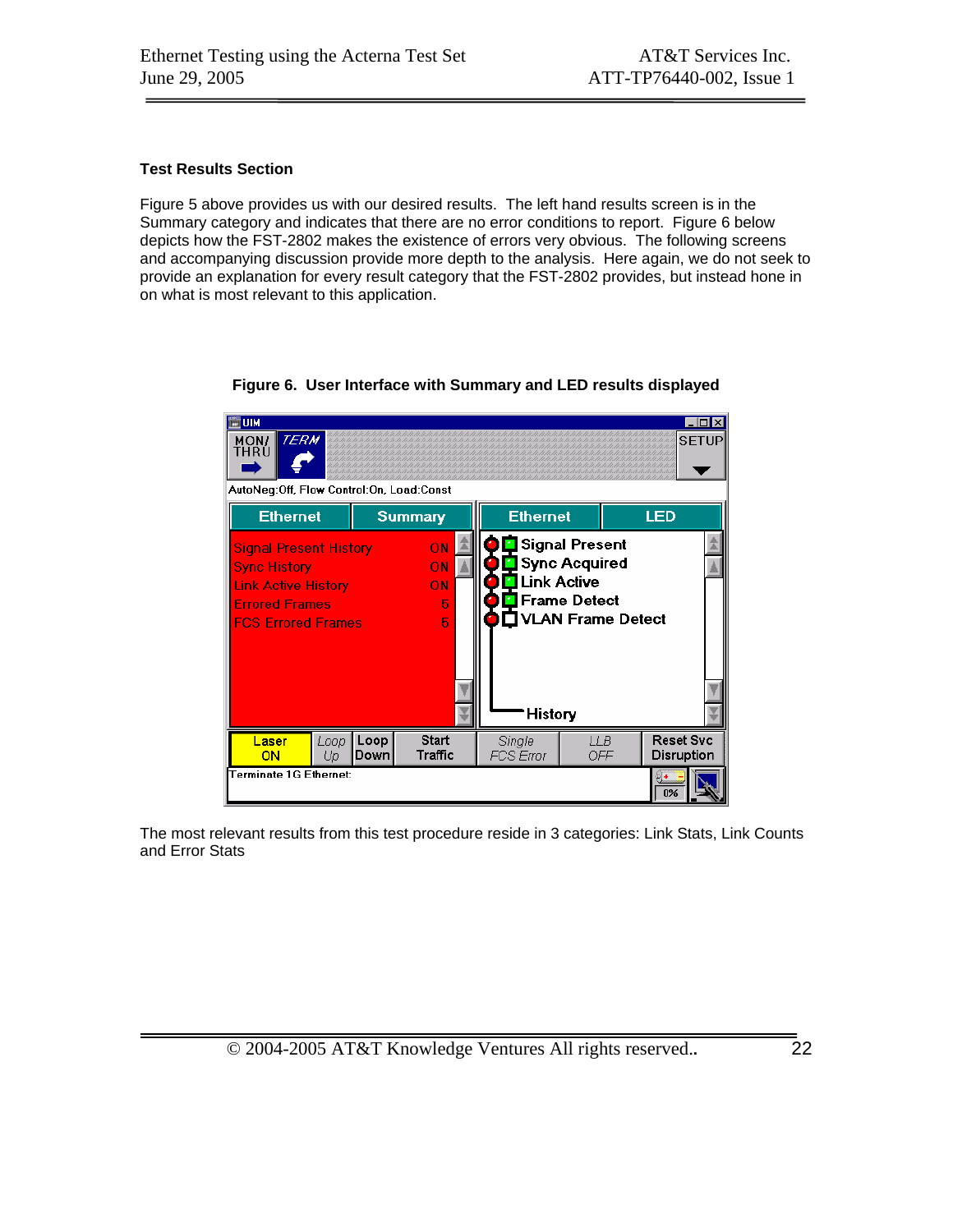#### **Test Results Section**

Figure 5 above provides us with our desired results. The left hand results screen is in the Summary category and indicates that there are no error conditions to report. Figure 6 below depicts how the FST-2802 makes the existence of errors very obvious. The following screens and accompanying discussion provide more depth to the analysis. Here again, we do not seek to provide an explanation for every result category that the FST-2802 provides, but instead hone in on what is most relevant to this application.

**EUM EDIX TERM SETUP** MON/<br>THRU ▼ AutoNeg:Off, Flow Control:On, Load:Const LED **Summary Ethernet Ethernet** Signal Present **Signal Present History** ON Sync Acquired **Sync History** ON **Link Active Link Active History** ON Frame Detect **Errored Frames**  $\overline{5}$ VLAN Frame Detect **FCS Errored Frames**  $\overline{5}$ **History** Loop Loop **Start** LLB **Reset Svc** Single Laser Down Traffic FCS Error OFF Disruption ON Up **Terminate 1G Ethernet:**  $\overline{0\%}$ 

**Figure 6. User Interface with Summary and LED results displayed** 

The most relevant results from this test procedure reside in 3 categories: Link Stats, Link Counts and Error Stats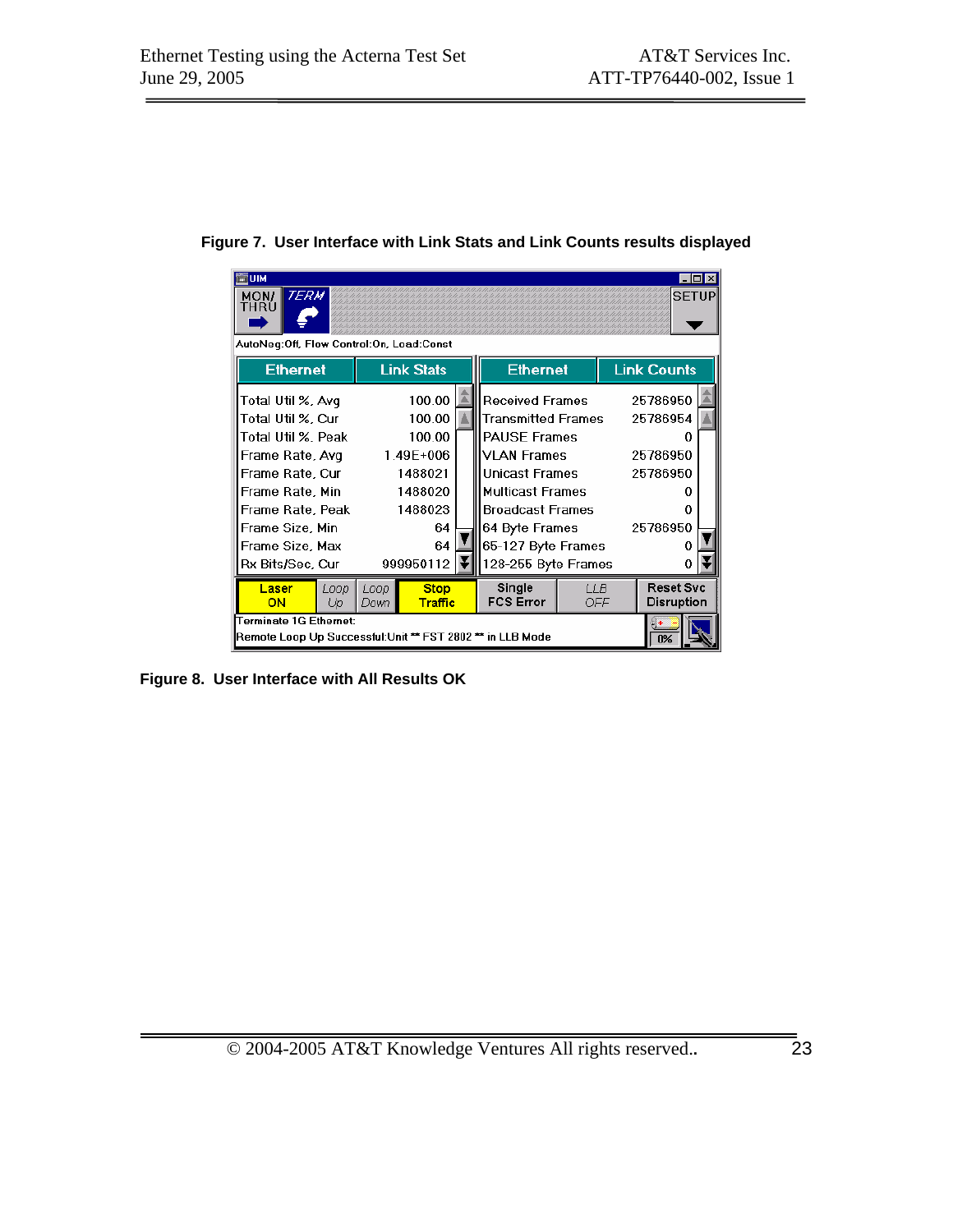| ≕шм<br><b>TERM</b><br>MON/<br>THRÙ<br>AutoNeg:Off, Flow Control:On, Load:Const      |              |                               |                            |             | - 10<br><b>SETUP</b>                  |  |
|-------------------------------------------------------------------------------------|--------------|-------------------------------|----------------------------|-------------|---------------------------------------|--|
| <b>Ethernet</b>                                                                     |              | <b>Link Stats</b>             | <b>Ethernet</b>            |             | <b>Link Counts</b>                    |  |
| Total Util %, Avq                                                                   |              | 100.00                        | <b>Received Frames</b>     |             | 25786950                              |  |
| Total Util %, Cur                                                                   |              | 100.00                        | <b>Transmitted Frames</b>  |             | 25786954                              |  |
| Total Util %, Peak                                                                  |              | 100.00                        | <b>PAUSE Frames</b>        |             |                                       |  |
| Frame Rate, Avq                                                                     |              | 1.49E+006                     | <b>VLAN Frames</b>         |             | 25786950                              |  |
| Frame Rate, Cur                                                                     |              | 1488021                       | Unicast Frames             |             | 25786950                              |  |
| Frame Rate, Min                                                                     | 1488020      |                               | <b>Multicast Frames</b>    |             |                                       |  |
| Frame Rate, Peak                                                                    |              | 1488023                       | Broadcast Frames           |             | Ω                                     |  |
| Frame Size, Min                                                                     |              | 64                            | 64 Byte Frames             |             | 25786950                              |  |
| Frame Size, Max                                                                     |              | 64                            | 65-127 Byte Frames         |             |                                       |  |
| Rx Bits/Sec, Cur                                                                    |              | 999950112                     | 128-255 Byte Frames        |             |                                       |  |
| Laser<br>Loop<br>ON<br>Up                                                           | Loop<br>Down | <b>Stop</b><br><b>Traffic</b> | Single<br><b>FCS Error</b> | 11 B<br>OFF | <b>Reset Svc</b><br><b>Disruption</b> |  |
| Terminate 1G Ethernet:<br>Remote Loop Up Successful:Unit ** FST 2802 ** in LLB Mode |              |                               |                            |             | n <sub>9</sub>                        |  |

**Figure 7. User Interface with Link Stats and Link Counts results displayed** 

**Figure 8. User Interface with All Results OK**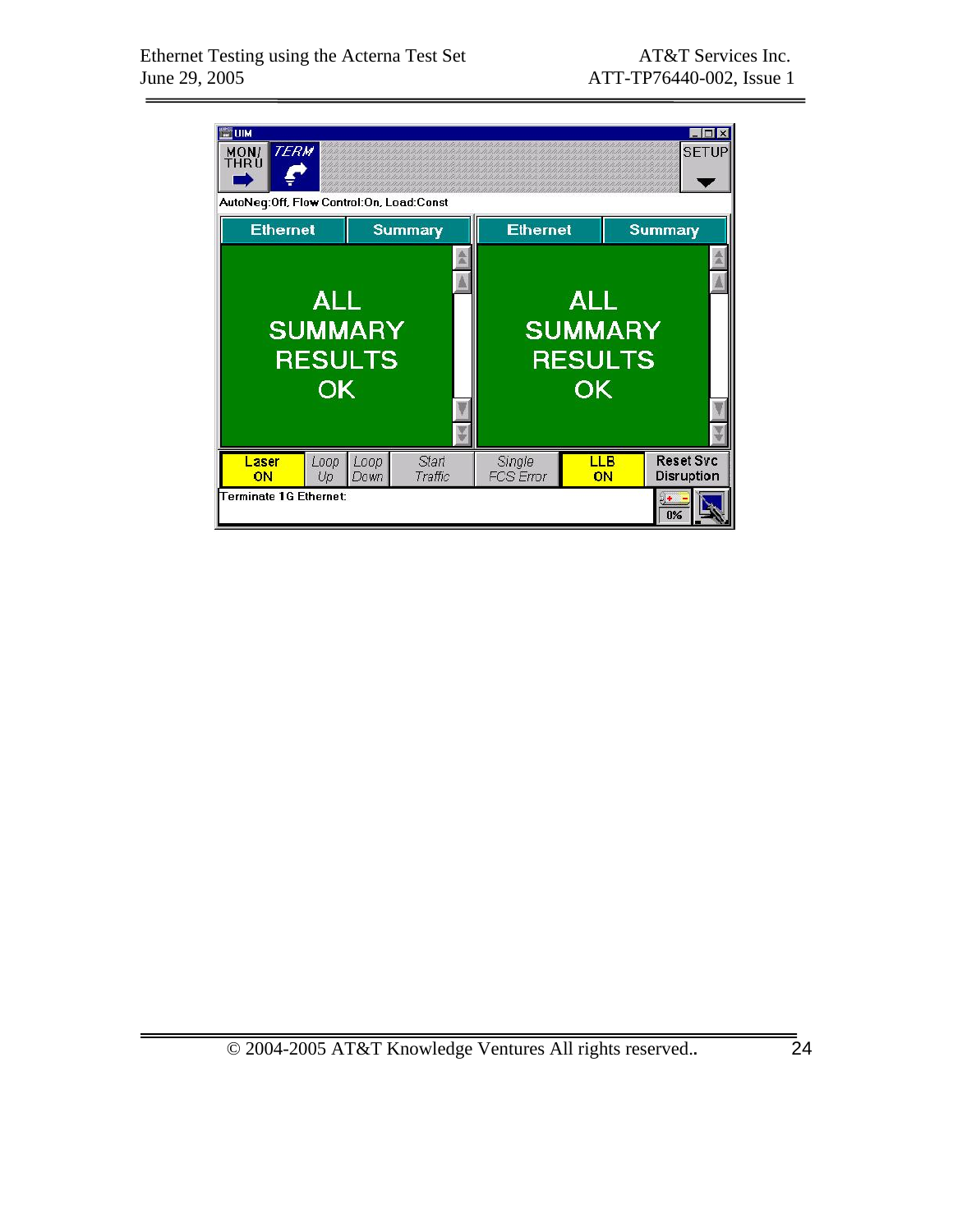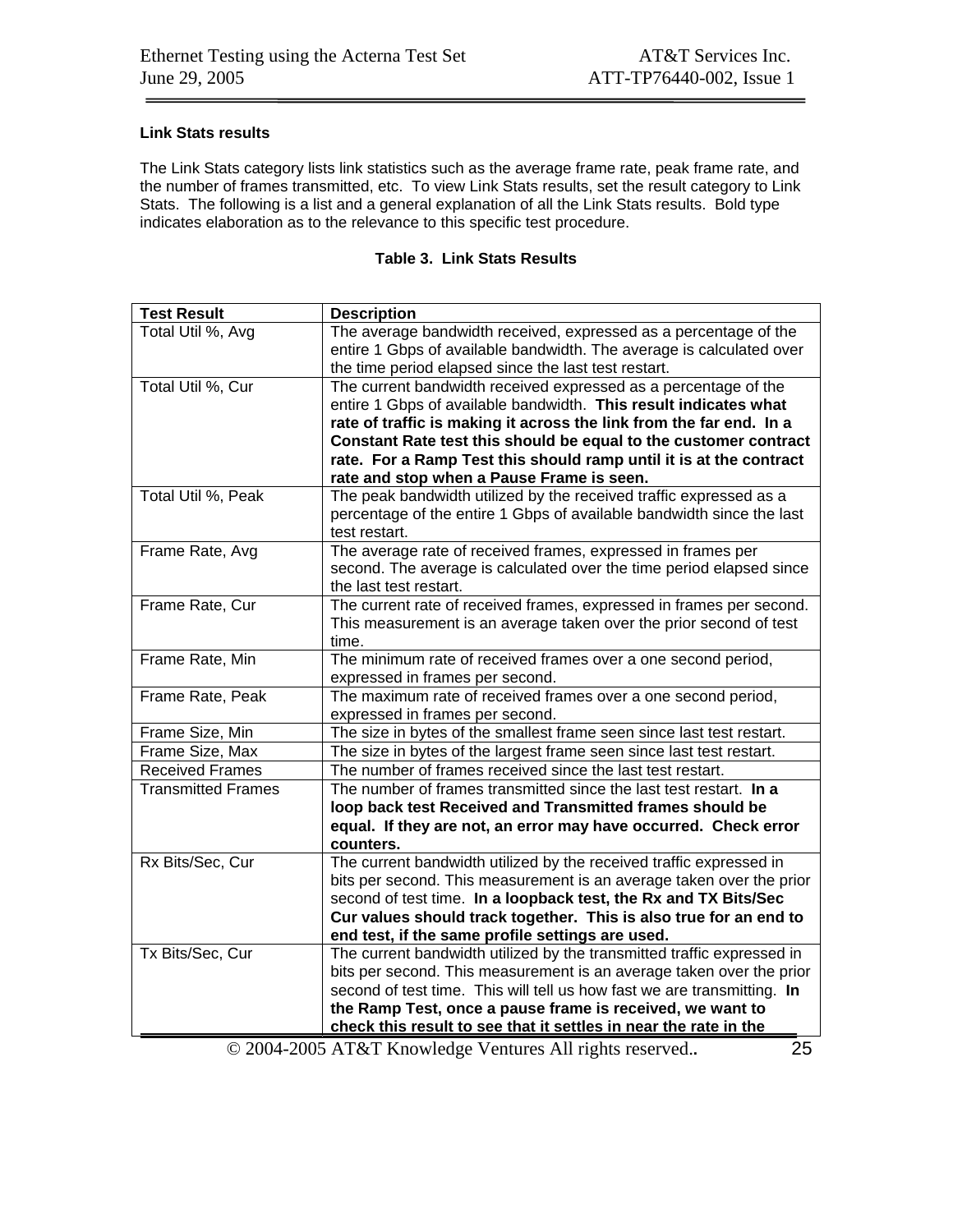#### **Link Stats results**

The Link Stats category lists link statistics such as the average frame rate, peak frame rate, and the number of frames transmitted, etc. To view Link Stats results, set the result category to Link Stats. The following is a list and a general explanation of all the Link Stats results. Bold type indicates elaboration as to the relevance to this specific test procedure.

|  |  |  | Table 3.  Link Stats Results |
|--|--|--|------------------------------|
|--|--|--|------------------------------|

| <b>Test Result</b>        | <b>Description</b>                                                      |
|---------------------------|-------------------------------------------------------------------------|
| Total Util %, Avg         | The average bandwidth received, expressed as a percentage of the        |
|                           | entire 1 Gbps of available bandwidth. The average is calculated over    |
|                           | the time period elapsed since the last test restart.                    |
| Total Util %, Cur         | The current bandwidth received expressed as a percentage of the         |
|                           | entire 1 Gbps of available bandwidth. This result indicates what        |
|                           | rate of traffic is making it across the link from the far end. In a     |
|                           | Constant Rate test this should be equal to the customer contract        |
|                           | rate. For a Ramp Test this should ramp until it is at the contract      |
|                           | rate and stop when a Pause Frame is seen.                               |
| Total Util %, Peak        | The peak bandwidth utilized by the received traffic expressed as a      |
|                           | percentage of the entire 1 Gbps of available bandwidth since the last   |
|                           | test restart.                                                           |
| Frame Rate, Avg           | The average rate of received frames, expressed in frames per            |
|                           | second. The average is calculated over the time period elapsed since    |
|                           | the last test restart.                                                  |
| Frame Rate, Cur           | The current rate of received frames, expressed in frames per second.    |
|                           | This measurement is an average taken over the prior second of test      |
|                           | time.                                                                   |
| Frame Rate, Min           | The minimum rate of received frames over a one second period,           |
|                           | expressed in frames per second.                                         |
| Frame Rate, Peak          | The maximum rate of received frames over a one second period,           |
|                           | expressed in frames per second.                                         |
| Frame Size, Min           | The size in bytes of the smallest frame seen since last test restart.   |
| Frame Size, Max           | The size in bytes of the largest frame seen since last test restart.    |
| <b>Received Frames</b>    | The number of frames received since the last test restart.              |
| <b>Transmitted Frames</b> | The number of frames transmitted since the last test restart. In a      |
|                           | loop back test Received and Transmitted frames should be                |
|                           | equal. If they are not, an error may have occurred. Check error         |
|                           | counters.                                                               |
| Rx Bits/Sec, Cur          | The current bandwidth utilized by the received traffic expressed in     |
|                           | bits per second. This measurement is an average taken over the prior    |
|                           | second of test time. In a loopback test, the Rx and TX Bits/Sec         |
|                           | Cur values should track together. This is also true for an end to       |
|                           | end test, if the same profile settings are used.                        |
| Tx Bits/Sec, Cur          | The current bandwidth utilized by the transmitted traffic expressed in  |
|                           | bits per second. This measurement is an average taken over the prior    |
|                           | second of test time. This will tell us how fast we are transmitting. In |
|                           | the Ramp Test, once a pause frame is received, we want to               |
|                           | check this result to see that it settles in near the rate in the        |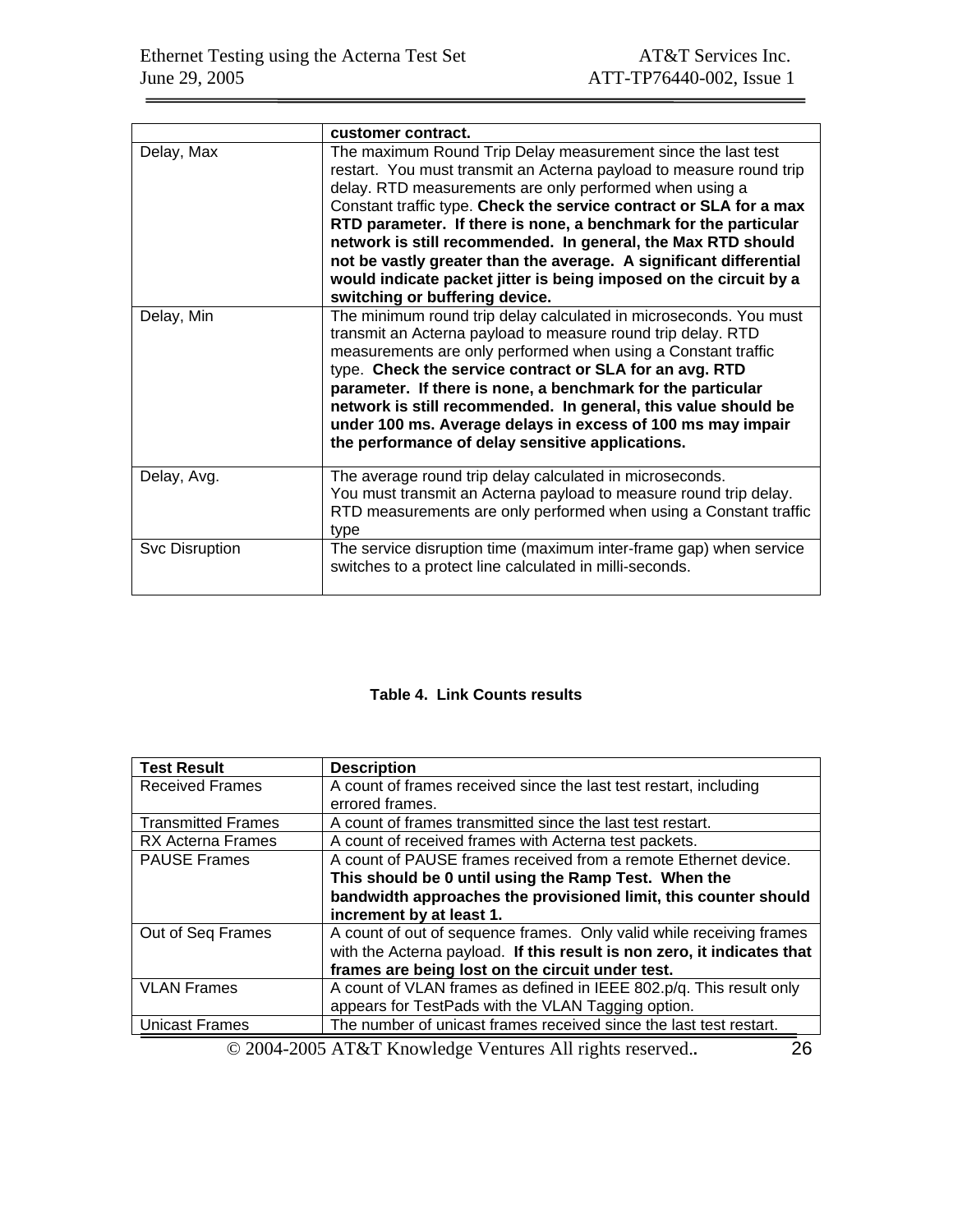|                | customer contract.                                                                                                                                                                                                                                                                                                                                                                                                                                                                                                                                                                   |
|----------------|--------------------------------------------------------------------------------------------------------------------------------------------------------------------------------------------------------------------------------------------------------------------------------------------------------------------------------------------------------------------------------------------------------------------------------------------------------------------------------------------------------------------------------------------------------------------------------------|
| Delay, Max     | The maximum Round Trip Delay measurement since the last test<br>restart. You must transmit an Acterna payload to measure round trip<br>delay. RTD measurements are only performed when using a<br>Constant traffic type. Check the service contract or SLA for a max<br>RTD parameter. If there is none, a benchmark for the particular<br>network is still recommended. In general, the Max RTD should<br>not be vastly greater than the average. A significant differential<br>would indicate packet jitter is being imposed on the circuit by a<br>switching or buffering device. |
| Delay, Min     | The minimum round trip delay calculated in microseconds. You must<br>transmit an Acterna payload to measure round trip delay. RTD<br>measurements are only performed when using a Constant traffic<br>type. Check the service contract or SLA for an avg. RTD<br>parameter. If there is none, a benchmark for the particular<br>network is still recommended. In general, this value should be<br>under 100 ms. Average delays in excess of 100 ms may impair<br>the performance of delay sensitive applications.                                                                    |
| Delay, Avg.    | The average round trip delay calculated in microseconds.<br>You must transmit an Acterna payload to measure round trip delay.<br>RTD measurements are only performed when using a Constant traffic<br>type                                                                                                                                                                                                                                                                                                                                                                           |
| Svc Disruption | The service disruption time (maximum inter-frame gap) when service<br>switches to a protect line calculated in milli-seconds.                                                                                                                                                                                                                                                                                                                                                                                                                                                        |

#### **Table 4. Link Counts results**

| <b>Test Result</b>        | <b>Description</b>                                                      |
|---------------------------|-------------------------------------------------------------------------|
| <b>Received Frames</b>    | A count of frames received since the last test restart, including       |
|                           | errored frames.                                                         |
| <b>Transmitted Frames</b> | A count of frames transmitted since the last test restart.              |
| <b>RX Acterna Frames</b>  | A count of received frames with Acterna test packets.                   |
| <b>PAUSE Frames</b>       | A count of PAUSE frames received from a remote Ethernet device.         |
|                           | This should be 0 until using the Ramp Test. When the                    |
|                           | bandwidth approaches the provisioned limit, this counter should         |
|                           | increment by at least 1.                                                |
| Out of Seq Frames         | A count of out of sequence frames. Only valid while receiving frames    |
|                           | with the Acterna payload. If this result is non zero, it indicates that |
|                           | frames are being lost on the circuit under test.                        |
| <b>VLAN Frames</b>        | A count of VLAN frames as defined in IEEE 802.p/q. This result only     |
|                           | appears for TestPads with the VLAN Tagging option.                      |
| <b>Unicast Frames</b>     | The number of unicast frames received since the last test restart.      |
|                           |                                                                         |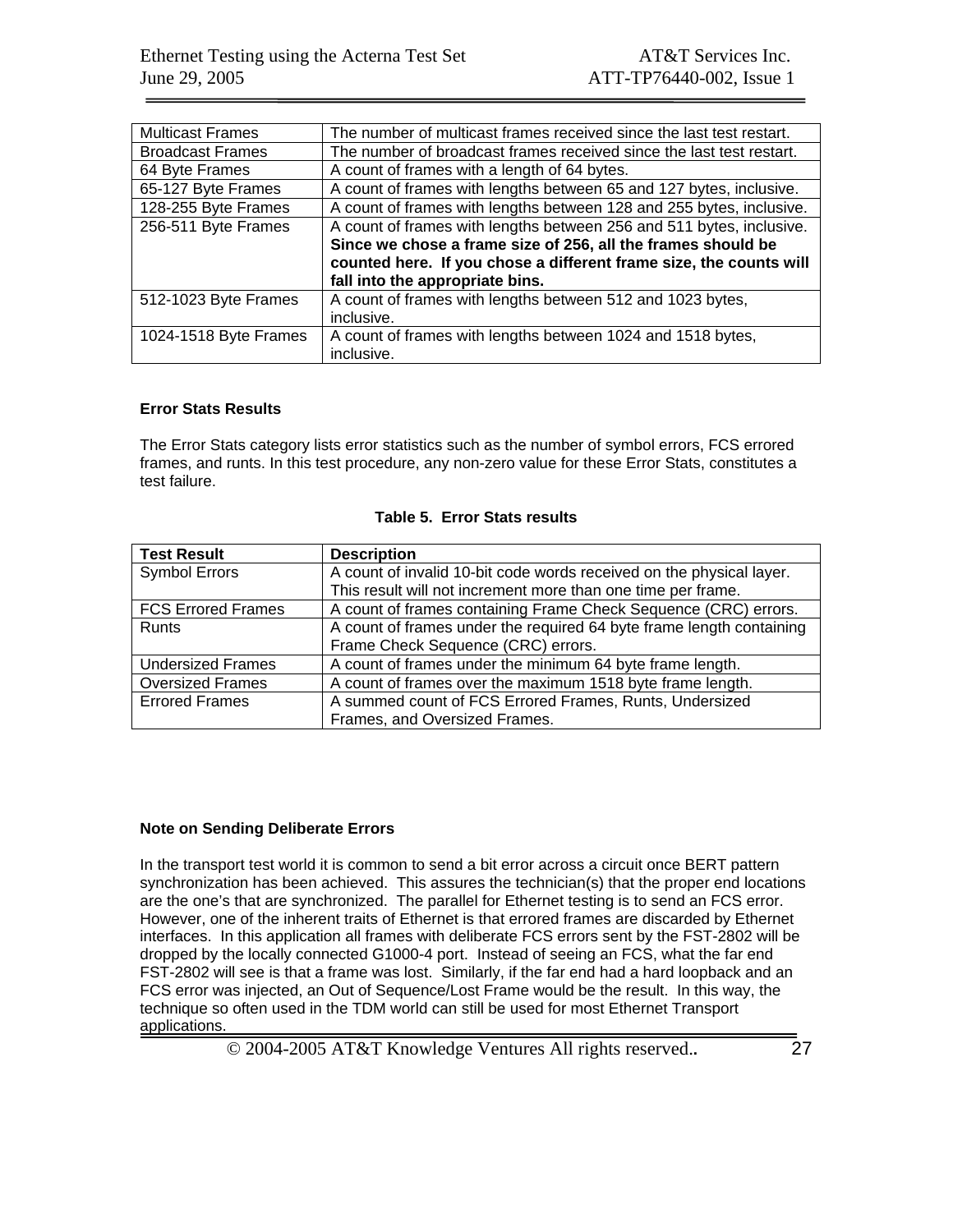| <b>Multicast Frames</b> | The number of multicast frames received since the last test restart. |  |  |
|-------------------------|----------------------------------------------------------------------|--|--|
| <b>Broadcast Frames</b> | The number of broadcast frames received since the last test restart. |  |  |
| 64 Byte Frames          | A count of frames with a length of 64 bytes.                         |  |  |
| 65-127 Byte Frames      | A count of frames with lengths between 65 and 127 bytes, inclusive.  |  |  |
| 128-255 Byte Frames     | A count of frames with lengths between 128 and 255 bytes, inclusive. |  |  |
| 256-511 Byte Frames     | A count of frames with lengths between 256 and 511 bytes, inclusive. |  |  |
|                         | Since we chose a frame size of 256, all the frames should be         |  |  |
|                         | counted here. If you chose a different frame size, the counts will   |  |  |
|                         | fall into the appropriate bins.                                      |  |  |
| 512-1023 Byte Frames    | A count of frames with lengths between 512 and 1023 bytes,           |  |  |
|                         | inclusive.                                                           |  |  |
| 1024-1518 Byte Frames   | A count of frames with lengths between 1024 and 1518 bytes,          |  |  |
|                         | inclusive.                                                           |  |  |

#### **Error Stats Results**

The Error Stats category lists error statistics such as the number of symbol errors, FCS errored frames, and runts. In this test procedure, any non-zero value for these Error Stats, constitutes a test failure.

| <b>Test Result</b>        | <b>Description</b>                                                   |
|---------------------------|----------------------------------------------------------------------|
| <b>Symbol Errors</b>      | A count of invalid 10-bit code words received on the physical layer. |
|                           | This result will not increment more than one time per frame.         |
| <b>FCS Errored Frames</b> | A count of frames containing Frame Check Sequence (CRC) errors.      |
| Runts                     | A count of frames under the required 64 byte frame length containing |
|                           | Frame Check Sequence (CRC) errors.                                   |
| <b>Undersized Frames</b>  | A count of frames under the minimum 64 byte frame length.            |
| <b>Oversized Frames</b>   | A count of frames over the maximum 1518 byte frame length.           |
| <b>Errored Frames</b>     | A summed count of FCS Errored Frames, Runts, Undersized              |
|                           | Frames, and Oversized Frames.                                        |

#### **Table 5. Error Stats results**

#### **Note on Sending Deliberate Errors**

In the transport test world it is common to send a bit error across a circuit once BERT pattern synchronization has been achieved. This assures the technician(s) that the proper end locations are the one's that are synchronized. The parallel for Ethernet testing is to send an FCS error. However, one of the inherent traits of Ethernet is that errored frames are discarded by Ethernet interfaces. In this application all frames with deliberate FCS errors sent by the FST-2802 will be dropped by the locally connected G1000-4 port. Instead of seeing an FCS, what the far end FST-2802 will see is that a frame was lost. Similarly, if the far end had a hard loopback and an FCS error was injected, an Out of Sequence/Lost Frame would be the result. In this way, the technique so often used in the TDM world can still be used for most Ethernet Transport applications.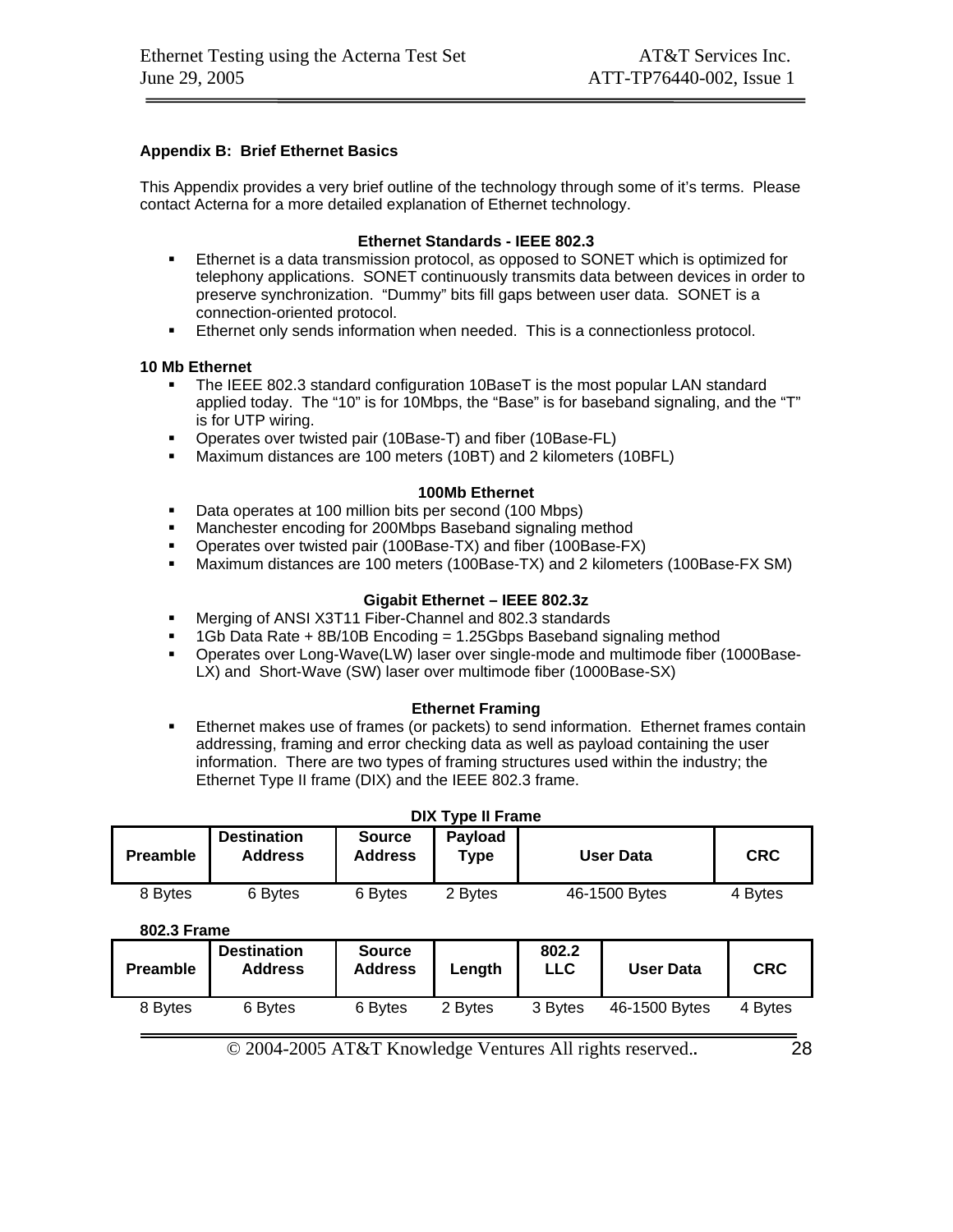#### **Appendix B: Brief Ethernet Basics**

This Appendix provides a very brief outline of the technology through some of it's terms. Please contact Acterna for a more detailed explanation of Ethernet technology.

#### **Ethernet Standards - IEEE 802.3**

- Ethernet is a data transmission protocol, as opposed to SONET which is optimized for telephony applications. SONET continuously transmits data between devices in order to preserve synchronization. "Dummy" bits fill gaps between user data. SONET is a connection-oriented protocol.
- Ethernet only sends information when needed. This is a connectionless protocol.

#### **10 Mb Ethernet**

- The IEEE 802.3 standard configuration 10BaseT is the most popular LAN standard applied today. The "10" is for 10Mbps, the "Base" is for baseband signaling, and the "T" is for UTP wiring.
- Operates over twisted pair (10Base-T) and fiber (10Base-FL)
- Maximum distances are 100 meters (10BT) and 2 kilometers (10BFL)

#### **100Mb Ethernet**

- Data operates at 100 million bits per second (100 Mbps)
- **Manchester encoding for 200Mbps Baseband signaling method**
- Operates over twisted pair (100Base-TX) and fiber (100Base-FX)
- Maximum distances are 100 meters (100Base-TX) and 2 kilometers (100Base-FX SM)

#### **Gigabit Ethernet – IEEE 802.3z**

- Merging of ANSI X3T11 Fiber-Channel and 802.3 standards
- 1Gb Data Rate + 8B/10B Encoding = 1.25Gbps Baseband signaling method
- Operates over Long-Wave(LW) laser over single-mode and multimode fiber (1000Base-LX) and Short-Wave (SW) laser over multimode fiber (1000Base-SX)

#### **Ethernet Framing**

 Ethernet makes use of frames (or packets) to send information. Ethernet frames contain addressing, framing and error checking data as well as payload containing the user information. There are two types of framing structures used within the industry; the Ethernet Type II frame (DIX) and the IEEE 802.3 frame.

| <b>DIX Type II Frame</b> |                                      |                                 |                 |                     |                  |            |
|--------------------------|--------------------------------------|---------------------------------|-----------------|---------------------|------------------|------------|
| <b>Preamble</b>          | <b>Destination</b><br><b>Address</b> | <b>Source</b><br><b>Address</b> | Payload<br>Type |                     | <b>User Data</b> | <b>CRC</b> |
| 8 Bytes                  | 6 Bytes                              | 6 Bytes                         | 2 Bytes         |                     | 46-1500 Bytes    | 4 Bytes    |
| 802.3 Frame              |                                      |                                 |                 |                     |                  |            |
| <b>Preamble</b>          | <b>Destination</b><br><b>Address</b> | <b>Source</b><br><b>Address</b> | Length          | 802.2<br><b>LLC</b> | <b>User Data</b> | <b>CRC</b> |
| 8 Bytes                  | 6 Bytes                              | 6 Bytes                         | 2 Bytes         | 3 Bytes             | 46-1500 Bytes    | 4 Bytes    |
|                          |                                      |                                 |                 |                     |                  |            |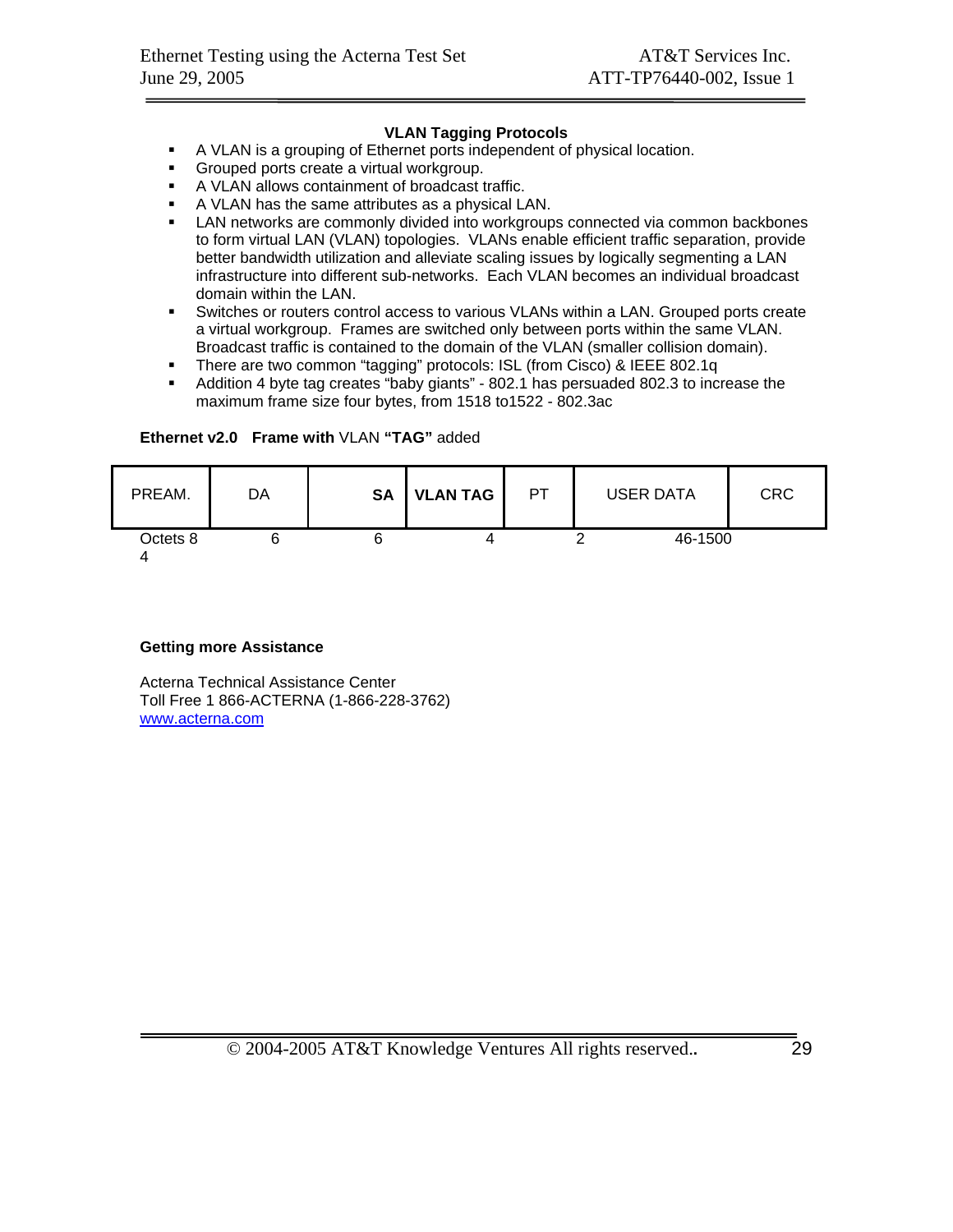#### **VLAN Tagging Protocols**

- A VLAN is a grouping of Ethernet ports independent of physical location.
- **Grouped ports create a virtual workgroup.**
- A VLAN allows containment of broadcast traffic.
- A VLAN has the same attributes as a physical LAN.
- LAN networks are commonly divided into workgroups connected via common backbones to form virtual LAN (VLAN) topologies. VLANs enable efficient traffic separation, provide better bandwidth utilization and alleviate scaling issues by logically segmenting a LAN infrastructure into different sub-networks. Each VLAN becomes an individual broadcast domain within the LAN.
- Switches or routers control access to various VLANs within a LAN. Grouped ports create a virtual workgroup. Frames are switched only between ports within the same VLAN. Broadcast traffic is contained to the domain of the VLAN (smaller collision domain).
- There are two common "tagging" protocols: ISL (from Cisco) & IEEE 802.1q
- Addition 4 byte tag creates "baby giants" 802.1 has persuaded 802.3 to increase the maximum frame size four bytes, from 1518 to1522 - 802.3ac

#### **Ethernet v2.0 Frame with** VLAN **"TAG"** added

| PREAM.   | DA | <b>SA</b> | <b>VLAN TAG</b> | <b>PT</b> | <b>USER DATA</b> | CRC |
|----------|----|-----------|-----------------|-----------|------------------|-----|
| Octets 8 |    |           |                 |           | 46-1500          |     |

#### **Getting more Assistance**

Acterna Technical Assistance Center Toll Free 1 866-ACTERNA (1-866-228-3762) www.acterna.com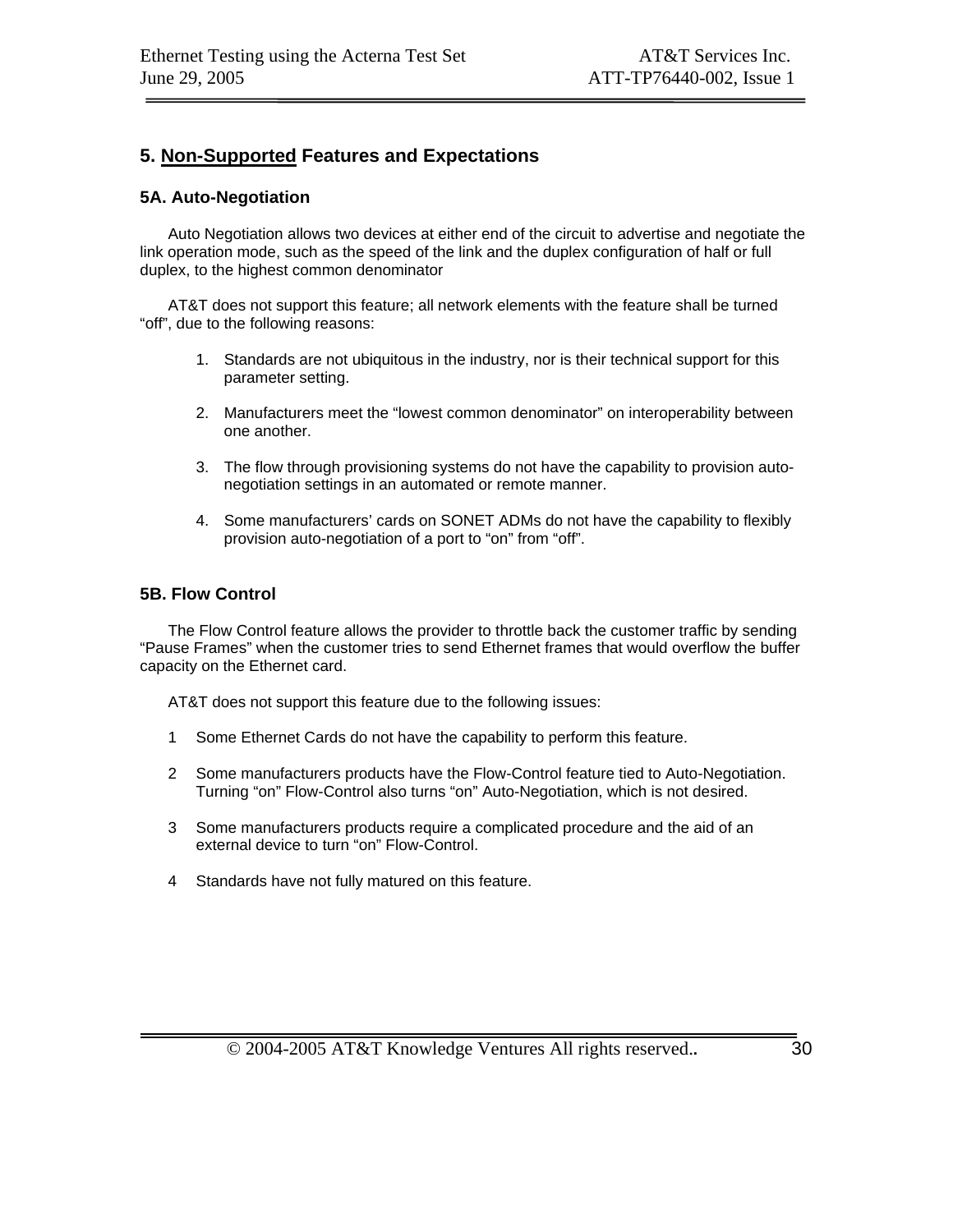### **5. Non-Supported Features and Expectations**

#### **5A. Auto-Negotiation**

Auto Negotiation allows two devices at either end of the circuit to advertise and negotiate the link operation mode, such as the speed of the link and the duplex configuration of half or full duplex, to the highest common denominator

AT&T does not support this feature; all network elements with the feature shall be turned "off", due to the following reasons:

- 1. Standards are not ubiquitous in the industry, nor is their technical support for this parameter setting.
- 2. Manufacturers meet the "lowest common denominator" on interoperability between one another.
- 3. The flow through provisioning systems do not have the capability to provision autonegotiation settings in an automated or remote manner.
- 4. Some manufacturers' cards on SONET ADMs do not have the capability to flexibly provision auto-negotiation of a port to "on" from "off".

#### **5B. Flow Control**

The Flow Control feature allows the provider to throttle back the customer traffic by sending "Pause Frames" when the customer tries to send Ethernet frames that would overflow the buffer capacity on the Ethernet card.

AT&T does not support this feature due to the following issues:

- 1 Some Ethernet Cards do not have the capability to perform this feature.
- 2 Some manufacturers products have the Flow-Control feature tied to Auto-Negotiation. Turning "on" Flow-Control also turns "on" Auto-Negotiation, which is not desired.
- 3 Some manufacturers products require a complicated procedure and the aid of an external device to turn "on" Flow-Control.
- 4 Standards have not fully matured on this feature.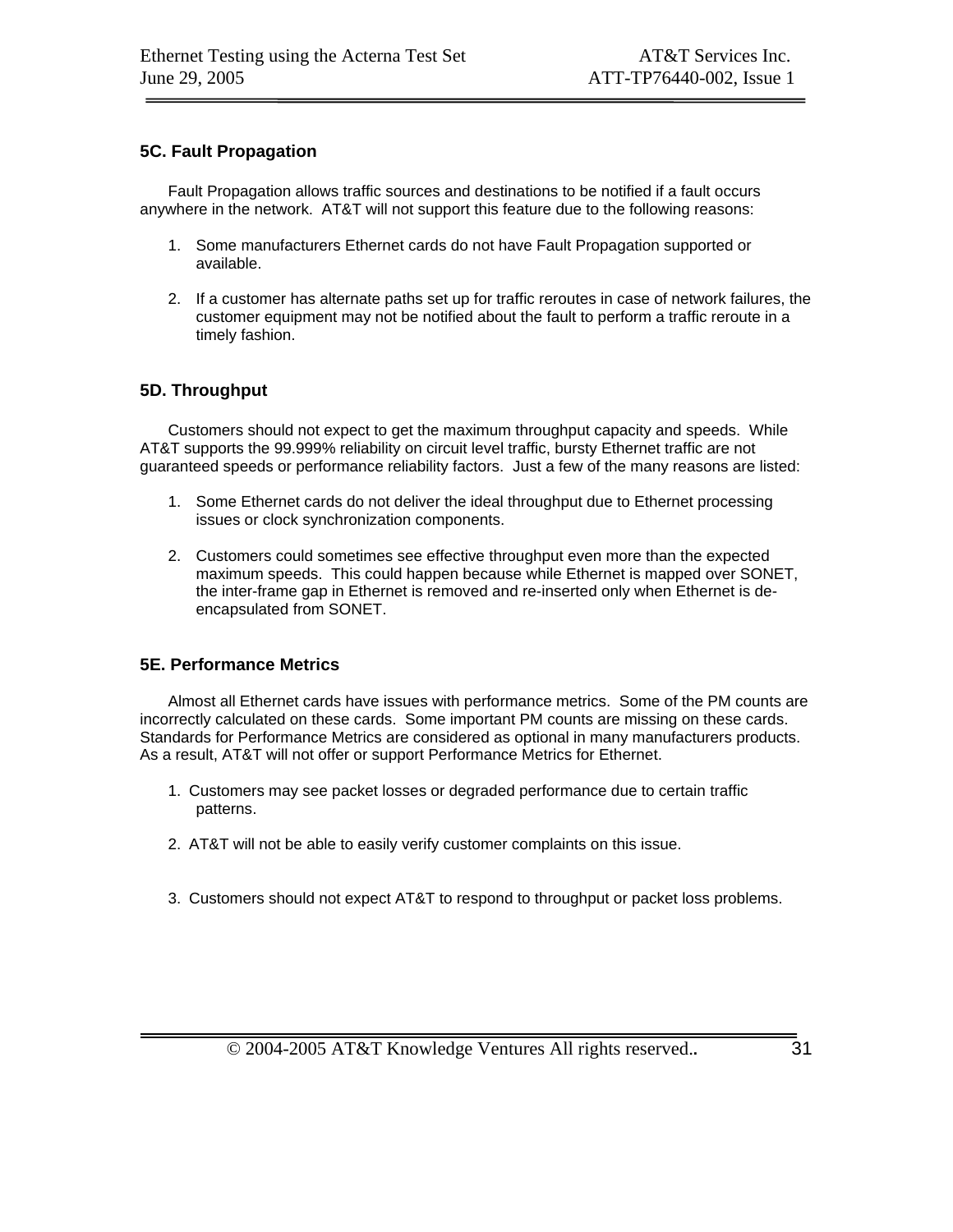#### **5C. Fault Propagation**

Fault Propagation allows traffic sources and destinations to be notified if a fault occurs anywhere in the network. AT&T will not support this feature due to the following reasons:

- 1. Some manufacturers Ethernet cards do not have Fault Propagation supported or available.
- 2. If a customer has alternate paths set up for traffic reroutes in case of network failures, the customer equipment may not be notified about the fault to perform a traffic reroute in a timely fashion.

#### **5D. Throughput**

Customers should not expect to get the maximum throughput capacity and speeds. While AT&T supports the 99.999% reliability on circuit level traffic, bursty Ethernet traffic are not guaranteed speeds or performance reliability factors. Just a few of the many reasons are listed:

- 1. Some Ethernet cards do not deliver the ideal throughput due to Ethernet processing issues or clock synchronization components.
- 2. Customers could sometimes see effective throughput even more than the expected maximum speeds. This could happen because while Ethernet is mapped over SONET, the inter-frame gap in Ethernet is removed and re-inserted only when Ethernet is deencapsulated from SONET.

#### **5E. Performance Metrics**

Almost all Ethernet cards have issues with performance metrics. Some of the PM counts are incorrectly calculated on these cards. Some important PM counts are missing on these cards. Standards for Performance Metrics are considered as optional in many manufacturers products. As a result, AT&T will not offer or support Performance Metrics for Ethernet.

- 1. Customers may see packet losses or degraded performance due to certain traffic patterns.
- 2. AT&T will not be able to easily verify customer complaints on this issue.
- 3. Customers should not expect AT&T to respond to throughput or packet loss problems.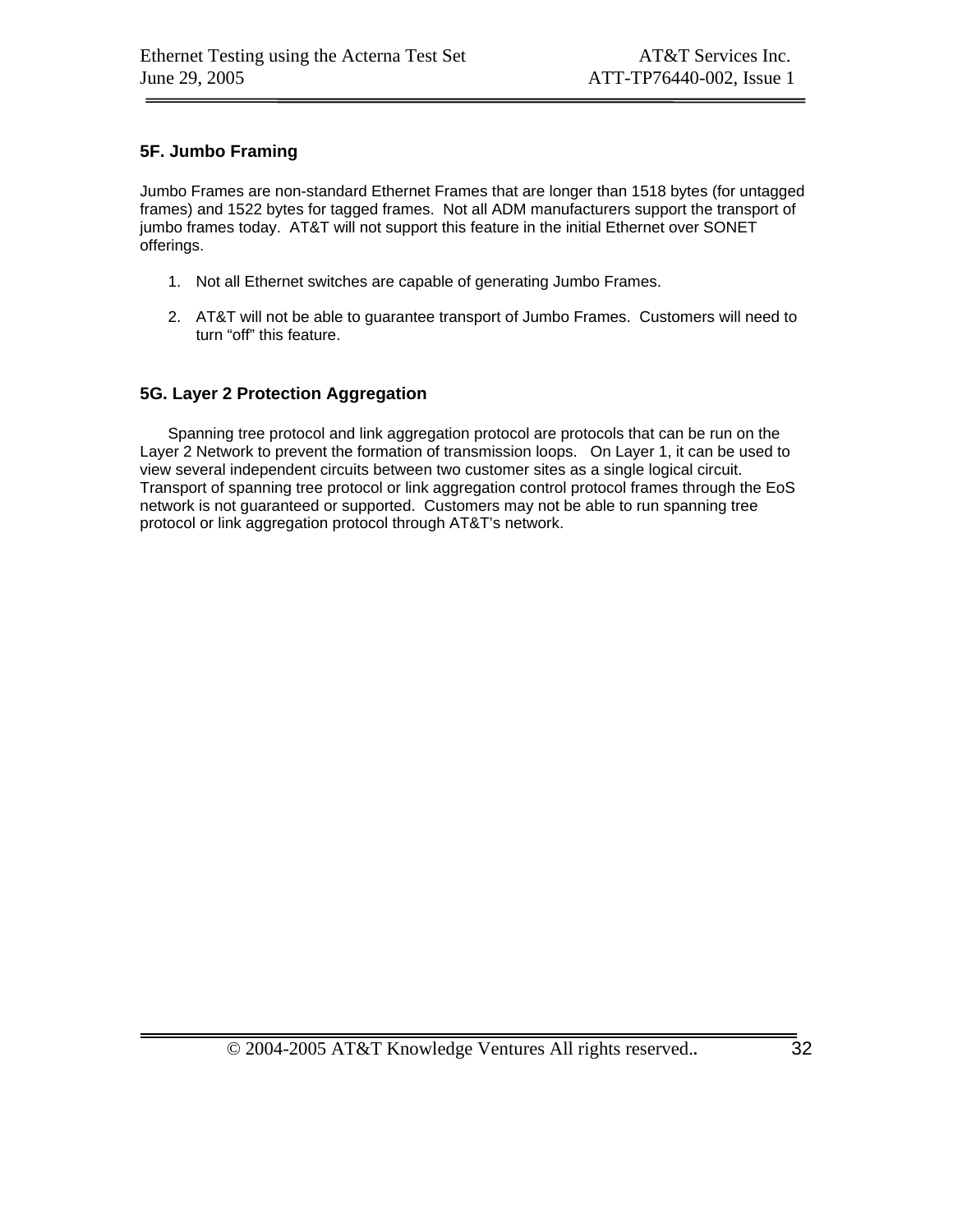#### **5F. Jumbo Framing**

Jumbo Frames are non-standard Ethernet Frames that are longer than 1518 bytes (for untagged frames) and 1522 bytes for tagged frames. Not all ADM manufacturers support the transport of jumbo frames today. AT&T will not support this feature in the initial Ethernet over SONET offerings.

- 1. Not all Ethernet switches are capable of generating Jumbo Frames.
- 2. AT&T will not be able to guarantee transport of Jumbo Frames. Customers will need to turn "off" this feature.

#### **5G. Layer 2 Protection Aggregation**

Spanning tree protocol and link aggregation protocol are protocols that can be run on the Layer 2 Network to prevent the formation of transmission loops. On Layer 1, it can be used to view several independent circuits between two customer sites as a single logical circuit. Transport of spanning tree protocol or link aggregation control protocol frames through the EoS network is not guaranteed or supported. Customers may not be able to run spanning tree protocol or link aggregation protocol through AT&T's network.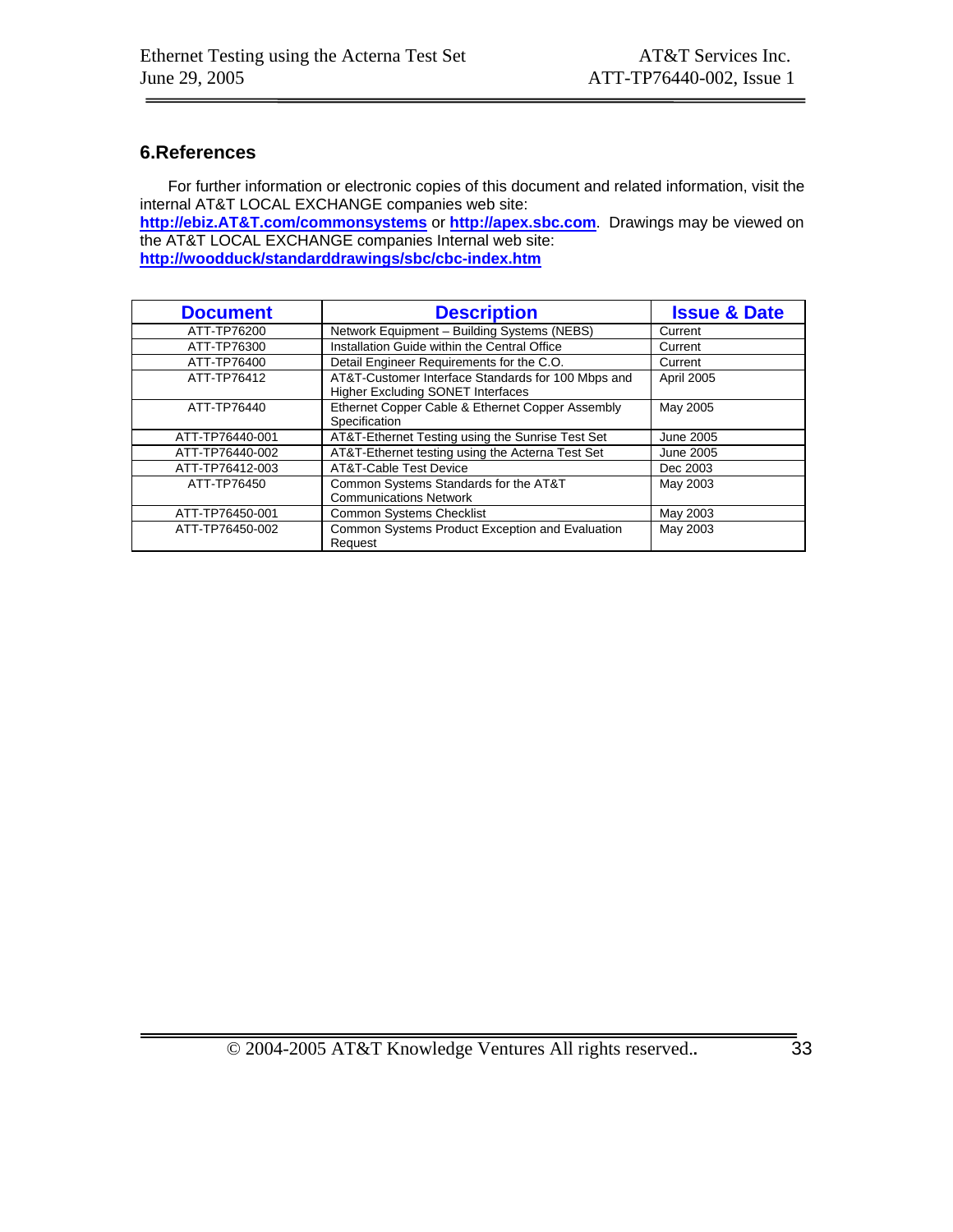## **6.References**

For further information or electronic copies of this document and related information, visit the internal AT&T LOCAL EXCHANGE companies web site:

**http://ebiz.AT&T.com/commonsystems** or **http://apex.sbc.com**. Drawings may be viewed on the AT&T LOCAL EXCHANGE companies Internal web site:

**http://woodduck/standarddrawings/sbc/cbc-index.htm**

| <b>Document</b> | <b>Description</b>                                                                             | <b>Issue &amp; Date</b> |
|-----------------|------------------------------------------------------------------------------------------------|-------------------------|
| ATT-TP76200     | Network Equipment - Building Systems (NEBS)                                                    | Current                 |
| ATT-TP76300     | Installation Guide within the Central Office                                                   | Current                 |
| ATT-TP76400     | Detail Engineer Requirements for the C.O.                                                      | Current                 |
| ATT-TP76412     | AT&T-Customer Interface Standards for 100 Mbps and<br><b>Higher Excluding SONET Interfaces</b> | <b>April 2005</b>       |
| ATT-TP76440     | Ethernet Copper Cable & Ethernet Copper Assembly<br>Specification                              | May 2005                |
| ATT-TP76440-001 | AT&T-Ethernet Testing using the Sunrise Test Set                                               | June 2005               |
| ATT-TP76440-002 | AT&T-Ethernet testing using the Acterna Test Set                                               | June 2005               |
| ATT-TP76412-003 | AT&T-Cable Test Device                                                                         | Dec 2003                |
| ATT-TP76450     | Common Systems Standards for the AT&T<br><b>Communications Network</b>                         | May 2003                |
| ATT-TP76450-001 | <b>Common Systems Checklist</b>                                                                | May 2003                |
| ATT-TP76450-002 | Common Systems Product Exception and Evaluation<br>Request                                     | May 2003                |